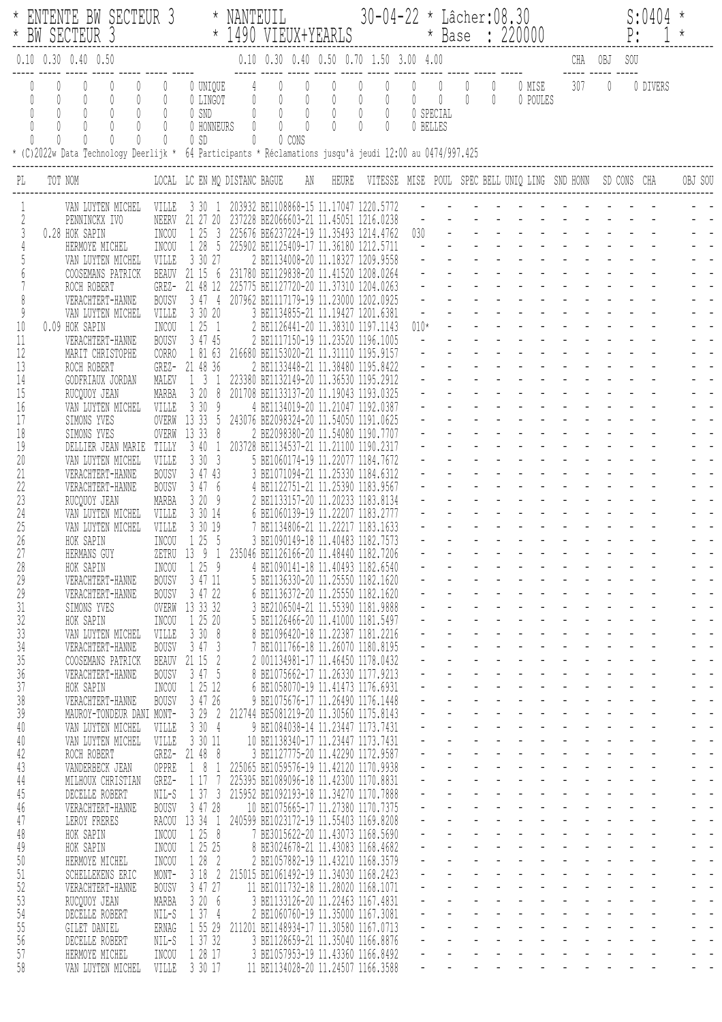|              | ENTENTE BW SECTEUR 3 * NANTEUIL 30-04-22 * Lâcher:08.30<br>EW SECTEUR 3 * 1490 VIEUX+YEARLS * Base : 220000                                                                                                  |                                                                                                                                                                       |                                                                             |                                   |                                                                                                                                                                                                                                                                                                                |  |                                                |                       |                                                                                            |  |                    | P:      | S:0404   |         |  |
|--------------|--------------------------------------------------------------------------------------------------------------------------------------------------------------------------------------------------------------|-----------------------------------------------------------------------------------------------------------------------------------------------------------------------|-----------------------------------------------------------------------------|-----------------------------------|----------------------------------------------------------------------------------------------------------------------------------------------------------------------------------------------------------------------------------------------------------------------------------------------------------------|--|------------------------------------------------|-----------------------|--------------------------------------------------------------------------------------------|--|--------------------|---------|----------|---------|--|
|              | $0.10$ $0.30$ $0.40$ $0.50$                                                                                                                                                                                  |                                                                                                                                                                       |                                                                             |                                   |                                                                                                                                                                                                                                                                                                                |  | 0.10  0.30  0.40  0.50  0.70  1.50  3.00  4.00 |                       |                                                                                            |  |                    |         |          |         |  |
|              | $\mathbb{O}$<br>0<br>0<br>0<br>$\begin{matrix} 0 \\ 0 \end{matrix}$<br>$\theta$<br>$\theta$<br>0<br>* (C)2022w Data Technology Deerlijk * 64 Participants * Réclamations jusqu'à jeudi 12:00 au 0474/997.425 | $\mathbb{O}$<br>$\hfill\ensuremath{\mathbb{O}}$<br>$\overline{0}$<br>$\hfill\ensuremath{\mathbb{O}}$<br>$\overline{0}$<br>$\begin{matrix} \end{matrix}$<br>$\bigcirc$ | $\mathbb{0}$<br>$\begin{matrix} \end{matrix}$<br>$\mathbb{O}$<br>$\bigcirc$ | $0$ 0 SD                          | $\begin{array}{cccccccc} 0 & \text{UNIQUE} & & 4 & & 0 & & 0 & & 0 & & 0 \\ 0 & \text{LINGOT} & & 0 & & 0 & & 0 & & 0 & & 0 \\ 0 & \text{SND} & & 0 & & 0 & & 0 & & 0 & & 0 \\ 0 & \text{HONNEURS} & & 0 & & 0 & & 0 & & 0 & & 0 \\ 0 & \text{HONNEURS} & & 0 & & 0 & & 0 & & 0 & & 0 \end{array}$<br>0 0 CONS |  |                                                | 0 SPECIAL<br>0 BELLES | $\begin{matrix} 0 & 0 & 0 & 0 \end{matrix}$<br>$\begin{matrix} 0 & 0 & 0 & 0 \end{matrix}$ |  | 0 MISE<br>0 POULES | $307$ 0 | 0 DIVERS |         |  |
| PL           | TOT NOM                                                                                                                                                                                                      | LOCAL LC EN MQ DISTANC BAGUE     AN    HEURE   VITESSE  MISE  POUL   SPEC BELL UNIQ LING  SND HONN   SD CONS  CHA                                                     |                                                                             |                                   |                                                                                                                                                                                                                                                                                                                |  |                                                |                       |                                                                                            |  |                    |         |          | OBJ SOU |  |
|              |                                                                                                                                                                                                              | VAN LUYTEN MICHEL VILLE                                                                                                                                               |                                                                             |                                   |                                                                                                                                                                                                                                                                                                                |  | 3 30 1 203932 BE1108868-15 11.17047 1220.5772  |                       |                                                                                            |  |                    |         |          |         |  |
| $\sqrt{2}$   | PENNINCKX IVO                                                                                                                                                                                                |                                                                                                                                                                       | NEERV<br>INCOU                                                              | 21 27 20<br>1 25<br>$\mathcal{S}$ | 237228 BE2066603-21 11.45051 1216.0238                                                                                                                                                                                                                                                                         |  | 225676 BE6237224-19 11.35493 1214.4762         | 030                   |                                                                                            |  |                    |         |          |         |  |
|              | 0.28 HOK SAPIN<br>HERMOYE MICHEL                                                                                                                                                                             |                                                                                                                                                                       | INCOU                                                                       | 1 28 5                            | 225902 BE1125409-17 11.36180 1212.5711                                                                                                                                                                                                                                                                         |  |                                                |                       |                                                                                            |  |                    |         |          |         |  |
|              |                                                                                                                                                                                                              | VAN LUYTEN MICHEL                                                                                                                                                     | VILLE                                                                       | 3 30 27                           | 2 BE1134008-20 11.18327 1209.9558                                                                                                                                                                                                                                                                              |  |                                                |                       |                                                                                            |  |                    |         |          |         |  |
|              | ROCH ROBERT                                                                                                                                                                                                  | COOSEMANS PATRICK                                                                                                                                                     | <b>BEAUV</b><br>GREZ-                                                       | 21 15 6<br>21 48 12               | 231780 BE1129838-20 11.41520 1208.0264<br>225775 BE1127720-20 11.37310 1204.0263                                                                                                                                                                                                                               |  |                                                |                       |                                                                                            |  |                    |         |          |         |  |
|              | VERACHTERT-HANNE                                                                                                                                                                                             |                                                                                                                                                                       | <b>BOUSV</b>                                                                | 3474                              | 207962 BE1117179-19 11.23000 1202.0925                                                                                                                                                                                                                                                                         |  |                                                |                       |                                                                                            |  |                    |         |          |         |  |
| 9<br>10      | 0.09 HOK SAPIN                                                                                                                                                                                               | VAN LUYTEN MICHEL                                                                                                                                                     | VILLE<br>INCOU                                                              | 3 30 20<br>1251                   | 3 BE1134855-21 11.19427 1201.6381<br>2 BE1126441-20 11.38310 1197.1143                                                                                                                                                                                                                                         |  |                                                | $010*$                |                                                                                            |  |                    |         |          |         |  |
| 11           | VERACHTERT-HANNE                                                                                                                                                                                             |                                                                                                                                                                       | <b>BOUSV</b>                                                                | 3 47 45                           | 2 BE1117150-19 11.23520 1196.1005                                                                                                                                                                                                                                                                              |  |                                                |                       |                                                                                            |  |                    |         |          |         |  |
| 12<br>13     | MARIT CHRISTOPHE                                                                                                                                                                                             |                                                                                                                                                                       | CORRO                                                                       | 1 81 63<br>21 48 36               | 216680 BE1153020-21 11.31110 1195.9157                                                                                                                                                                                                                                                                         |  |                                                |                       |                                                                                            |  |                    |         |          |         |  |
| 14           | ROCH ROBERT<br>GODFRIAUX JORDAN                                                                                                                                                                              |                                                                                                                                                                       | GREZ-<br>MALEV                                                              | $1 \quad 3 \quad 1$               | 2 BE1133448-21 11.38480 1195.8422<br>223380 BE1132149-20 11.36530 1195.2912                                                                                                                                                                                                                                    |  |                                                |                       |                                                                                            |  |                    |         |          |         |  |
| 15           | RUCQUOY JEAN                                                                                                                                                                                                 |                                                                                                                                                                       | MARBA                                                                       | 3208                              | 201708 BE1133137-20 11.19043 1193.0325                                                                                                                                                                                                                                                                         |  |                                                |                       |                                                                                            |  |                    |         |          |         |  |
| 16<br>17     | SIMONS YVES                                                                                                                                                                                                  | VAN LUYTEN MICHEL                                                                                                                                                     | VILLE<br>OVERW                                                              | 3309<br>13 33 5                   | 4 BE1134019-20 11.21047 1192.0387<br>243076 BE2098324-20 11.54050 1191.0625                                                                                                                                                                                                                                    |  |                                                |                       |                                                                                            |  |                    |         |          |         |  |
| 18           | SIMONS YVES                                                                                                                                                                                                  |                                                                                                                                                                       | OVERW                                                                       | 13 33<br>- 8                      | 2 BE2098380-20 11.54080 1190.7707                                                                                                                                                                                                                                                                              |  |                                                |                       |                                                                                            |  |                    |         |          |         |  |
| 19<br>20     |                                                                                                                                                                                                              | DELLIER JEAN MARIE<br>VAN LUYTEN MICHEL                                                                                                                               | TILLY<br>VILLE                                                              | 3401<br>3303                      | 203728 BE1134537-21 11.21100 1190.2317<br>5 BE1060174-19 11.22077 1184.7672                                                                                                                                                                                                                                    |  |                                                |                       |                                                                                            |  |                    |         |          |         |  |
| 21           | VERACHTERT-HANNE                                                                                                                                                                                             |                                                                                                                                                                       | <b>BOUSV</b>                                                                | 3 47 43                           | 3 BE1071094-21 11.25330 1184.6312                                                                                                                                                                                                                                                                              |  |                                                |                       |                                                                                            |  |                    |         |          |         |  |
| 22           | VERACHTERT-HANNE                                                                                                                                                                                             |                                                                                                                                                                       | <b>BOUSV</b>                                                                | 3 47 6                            | 4 BE1122751-21 11.25390 1183.9567                                                                                                                                                                                                                                                                              |  |                                                |                       |                                                                                            |  |                    |         |          |         |  |
| 23<br>24     | RUCQUOY JEAN                                                                                                                                                                                                 | VAN LUYTEN MICHEL                                                                                                                                                     | MARBA<br>VILLE                                                              | 3209<br>3 30 14                   | 2 BE1133157-20 11.20233 1183.8134<br>6 BE1060139-19 11.22207 1183.2777                                                                                                                                                                                                                                         |  |                                                |                       |                                                                                            |  |                    |         |          |         |  |
| 25           |                                                                                                                                                                                                              | VAN LUYTEN MICHEL                                                                                                                                                     | VILLE                                                                       | 3 30 19                           | 7 BE1134806-21 11.22217 1183.1633                                                                                                                                                                                                                                                                              |  |                                                |                       |                                                                                            |  |                    |         |          |         |  |
| 26<br>27     | HOK SAPIN<br>HERMANS GUY                                                                                                                                                                                     |                                                                                                                                                                       | INCOU                                                                       | 1 25 5<br>ZETRU 13 9<br>-1        | 3 BE1090149-18 11.40483 1182.7573<br>235046 BE1126166-20 11.48440 1182.7206                                                                                                                                                                                                                                    |  |                                                |                       |                                                                                            |  |                    |         |          |         |  |
| $28\,$       | HOK SAPIN                                                                                                                                                                                                    |                                                                                                                                                                       | INCOU                                                                       | 1259                              | 4 BE1090141-18 11.40493 1182.6540                                                                                                                                                                                                                                                                              |  |                                                |                       |                                                                                            |  |                    |         |          |         |  |
| 29           | VERACHTERT-HANNE                                                                                                                                                                                             |                                                                                                                                                                       | <b>BOUSV</b>                                                                | 3 47 11                           | 5 BE1136330-20 11.25550 1182.1620                                                                                                                                                                                                                                                                              |  |                                                |                       |                                                                                            |  |                    |         |          |         |  |
| 29<br>31     | VERACHTERT-HANNE<br>SIMONS YVES                                                                                                                                                                              |                                                                                                                                                                       | <b>BOUSV</b><br>OVERW                                                       | 3 47 22<br>13 33 32               | 6 BE1136372-20 11.25550 1182.1620<br>3 BE2106504-21 11.55390 1181.9888                                                                                                                                                                                                                                         |  |                                                |                       |                                                                                            |  |                    |         |          |         |  |
| 32           | HOK SAPIN                                                                                                                                                                                                    |                                                                                                                                                                       | INCOU                                                                       | 1 25 20                           | 5 BE1126466-20 11.41000 1181.5497                                                                                                                                                                                                                                                                              |  |                                                |                       |                                                                                            |  |                    |         |          |         |  |
| $33\,$<br>34 | VERACHTERT-HANNE                                                                                                                                                                                             | VAN LUYTEN MICHEL                                                                                                                                                     | VILLE<br><b>BOUSV</b>                                                       | 3308<br>3473                      | 8 BE1096420-18 11.22387 1181.2216<br>7 BE1011766-18 11.26070 1180.8195                                                                                                                                                                                                                                         |  |                                                |                       |                                                                                            |  |                    |         |          |         |  |
| 35           |                                                                                                                                                                                                              | COOSEMANS PATRICK                                                                                                                                                     | BEAUV                                                                       | 21 15 2                           | 2 001134981-17 11.46450 1178.0432                                                                                                                                                                                                                                                                              |  |                                                |                       |                                                                                            |  |                    |         |          |         |  |
| 36           | VERACHTERT-HANNE                                                                                                                                                                                             |                                                                                                                                                                       | <b>BOUSV</b>                                                                | 3 47 5                            | 8 BE1075662-17 11.26330 1177.9213                                                                                                                                                                                                                                                                              |  |                                                |                       |                                                                                            |  |                    |         |          |         |  |
| 37<br>38     | HOK SAPIN<br>VERACHTERT-HANNE                                                                                                                                                                                |                                                                                                                                                                       | INCOU<br><b>BOUSV</b>                                                       | 1 25 12<br>3 47 26                | 6 BE1058070-19 11.41473 1176.6931<br>9 BE1075676-17 11.26490 1176.1448                                                                                                                                                                                                                                         |  |                                                |                       |                                                                                            |  |                    |         |          |         |  |
| 39           |                                                                                                                                                                                                              | MAUROY-TONDEUR DANI MONT-                                                                                                                                             |                                                                             | 3292                              | 212744 BE5081219-20 11.30560 1175.8143                                                                                                                                                                                                                                                                         |  |                                                |                       |                                                                                            |  |                    |         |          |         |  |
| 40<br>40     |                                                                                                                                                                                                              | VAN LUYTEN MICHEL<br>VAN LUYTEN MICHEL                                                                                                                                | VILLE<br>VILLE                                                              | 3304<br>3 30 11                   | 9 BE1084038-14 11.23447 1173.7431<br>10 BE1138340-17 11.23447 1173.7431                                                                                                                                                                                                                                        |  |                                                |                       |                                                                                            |  |                    |         |          |         |  |
| 42           | ROCH ROBERT                                                                                                                                                                                                  |                                                                                                                                                                       | GREZ-                                                                       | 21 48 8                           | 3 BE1127775-20 11.42290 1172.9587                                                                                                                                                                                                                                                                              |  |                                                |                       |                                                                                            |  |                    |         |          |         |  |
| 43           | VANDERBECK JEAN                                                                                                                                                                                              |                                                                                                                                                                       | OPPRE                                                                       | 181                               | 225065 BE1059576-19 11.42120 1170.9938                                                                                                                                                                                                                                                                         |  |                                                |                       |                                                                                            |  |                    |         |          |         |  |
| 44<br>45     | DECELLE ROBERT                                                                                                                                                                                               | MILHOUX CHRISTIAN                                                                                                                                                     | GREZ-<br>NIL-S                                                              | 1 17<br>7<br>$1\,37\,3$           | 225395 BE1089096-18 11.42300 1170.8831<br>215952 BE1092193-18 11.34270 1170.7888                                                                                                                                                                                                                               |  |                                                |                       |                                                                                            |  |                    |         |          |         |  |
| 46           | VERACHTERT-HANNE                                                                                                                                                                                             |                                                                                                                                                                       | <b>BOUSV</b>                                                                | 3 47 28                           | 10 BE1075665-17 11.27380 1170.7375                                                                                                                                                                                                                                                                             |  |                                                |                       |                                                                                            |  |                    |         |          |         |  |
| 47           | LEROY FRERES                                                                                                                                                                                                 |                                                                                                                                                                       | RACOU<br>INCOU                                                              | 13 34 1<br>1258                   | 240599 BE1023172-19 11.55403 1169.8208<br>7 BE3015622-20 11.43073 1168.5690                                                                                                                                                                                                                                    |  |                                                |                       |                                                                                            |  |                    |         |          |         |  |
| 48<br>49     | HOK SAPIN<br>HOK SAPIN                                                                                                                                                                                       |                                                                                                                                                                       | INCOU                                                                       | 1 25 25                           | 8 BE3024678-21 11.43083 1168.4682                                                                                                                                                                                                                                                                              |  |                                                |                       |                                                                                            |  |                    |         |          |         |  |
| $50\,$       | HERMOYE MICHEL                                                                                                                                                                                               |                                                                                                                                                                       | INCOU                                                                       | 1 28 2                            | 2 BE1057882-19 11.43210 1168.3579                                                                                                                                                                                                                                                                              |  |                                                |                       |                                                                                            |  |                    |         |          |         |  |
| 51<br>52     | SCHELLEKENS ERIC<br>VERACHTERT-HANNE                                                                                                                                                                         |                                                                                                                                                                       | MONT-<br><b>BOUSV</b>                                                       | 3182<br>3 47 27                   | 215015 BE1061492-19 11.34030 1168.2423<br>11 BE1011732-18 11.28020 1168.1071                                                                                                                                                                                                                                   |  |                                                |                       |                                                                                            |  |                    |         |          |         |  |
| 53           | RUCQUOY JEAN                                                                                                                                                                                                 |                                                                                                                                                                       | MARBA                                                                       | 3 20 6                            | 3 BE1133126-20 11.22463 1167.4831                                                                                                                                                                                                                                                                              |  |                                                |                       |                                                                                            |  |                    |         |          |         |  |
| 54           | DECELLE ROBERT                                                                                                                                                                                               |                                                                                                                                                                       | NIL-S                                                                       | 1374                              | 2 BE1060760-19 11.35000 1167.3081                                                                                                                                                                                                                                                                              |  |                                                |                       |                                                                                            |  |                    |         |          |         |  |
| 55<br>56     | GILET DANIEL<br>DECELLE ROBERT                                                                                                                                                                               |                                                                                                                                                                       | ERNAG<br>NIL-S                                                              | 1 55 29<br>1 37 32                | 211201 BE1148934-17 11.30580 1167.0713<br>3 BE1128659-21 11.35040 1166.8876                                                                                                                                                                                                                                    |  |                                                |                       |                                                                                            |  |                    |         |          |         |  |
| 57           | HERMOYE MICHEL                                                                                                                                                                                               |                                                                                                                                                                       | INCOU                                                                       | 1 28 17                           | 3 BE1057953-19 11.43360 1166.8492                                                                                                                                                                                                                                                                              |  |                                                |                       |                                                                                            |  |                    |         |          |         |  |
| 58           |                                                                                                                                                                                                              | VAN LUYTEN MICHEL                                                                                                                                                     | VILLE                                                                       | 3 30 17                           | 11 BE1134028-20 11.24507 1166.3588                                                                                                                                                                                                                                                                             |  |                                                |                       |                                                                                            |  |                    |         |          |         |  |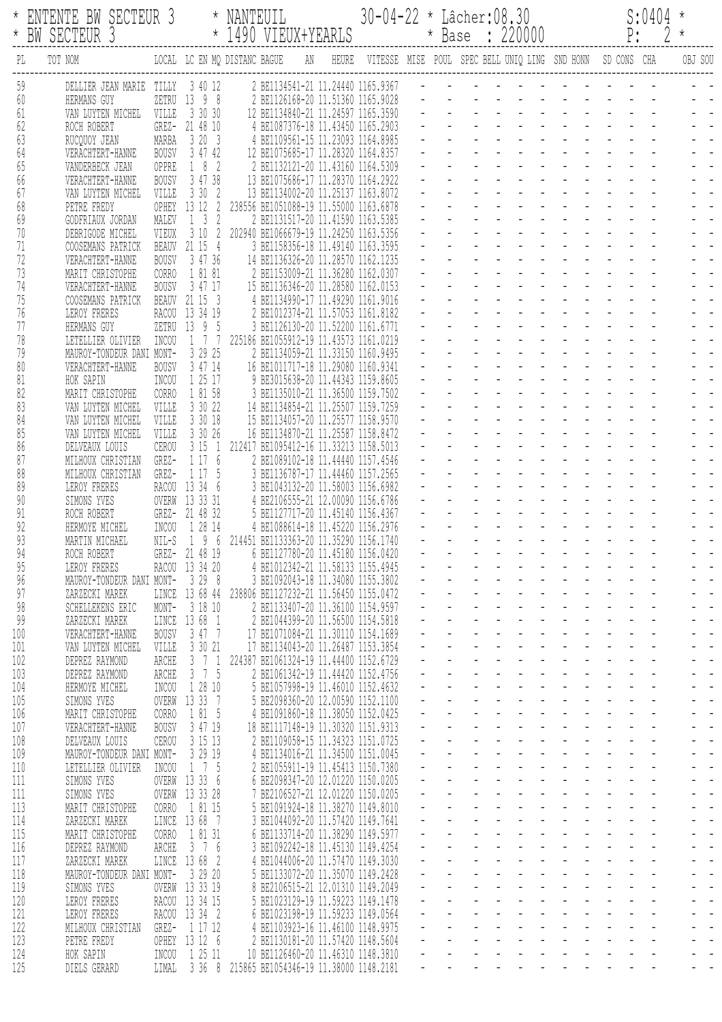| $\star$                  | ENTENTE BW SECTEUR 3<br>* BW SECTEUR 3                                                                                   |                                                      | NANTEUIL<br>* 1490 VIEUX+YEARLS                                                                                                                               |  | 30-04-22 * Lâcher:08.30<br>* Base : 220000                          |  | S:0404<br>$P: 2*$ |
|--------------------------|--------------------------------------------------------------------------------------------------------------------------|------------------------------------------------------|---------------------------------------------------------------------------------------------------------------------------------------------------------------|--|---------------------------------------------------------------------|--|-------------------|
| PL                       | TOT NOM                                                                                                                  |                                                      | LOCAL LC EN MQ DISTANC BAGUE                                                                                                                                  |  | AN HEURE VITESSE MISE POUL SPEC BELL UNIQ LING SND HONN SD CONS CHA |  | OBJ SOU           |
| 59<br>60<br>61           | DELLIER JEAN MARIE TILLY<br>HERMANS GUY<br>VILLE<br>VAN LUYTEN MICHEL                                                    | 3 40 12<br>ZETRU 13 9 8<br>3 30 30                   | 2 BE1134541-21 11.24440 1165.9367<br>2 BE1126168-20 11.51360 1165.9028<br>12 BE1134840-21 11.24597 1165.3590                                                  |  |                                                                     |  |                   |
| 62<br>63<br>64<br>65     | ROCH ROBERT<br>MARBA<br>RUCQUOY JEAN<br><b>BOUSV</b><br>VERACHTERT-HANNE<br>VANDERBECK JEAN<br>OPPRE                     | GREZ- 21 48 10<br>3203<br>3 47 42<br>182             | 4 BE1087376-18 11.43450 1165.2903<br>4 BE1109561-15 11.23093 1164.8985<br>12 BE1075685-17 11.28320 1164.8357<br>2 BE1132121-20 11.43160 1164.5309             |  |                                                                     |  |                   |
| 66<br>67<br>68           | VERACHTERT-HANNE<br><b>BOUSV</b><br>VAN LUYTEN MICHEL<br>VILLE<br>PETRE FREDY<br>OPHEY                                   | 3 47 38<br>3302<br>13 12<br>2                        | 13 BE1075686-17 11.28370 1164.2922<br>13 BE1134002-20 11.25137 1163.8072<br>238556 BE1051088-19 11.55000 1163.6878                                            |  |                                                                     |  |                   |
| 69<br>70<br>71<br>72     | GODFRIAUX JORDAN<br>MALEV<br>DEBRIGODE MICHEL<br>VIEUX<br>COOSEMANS PATRICK<br>BEAUV<br>VERACHTERT-HANNE<br><b>BOUSV</b> | $1 \quad 3$<br>2<br>21 15 4<br>3 47 36               | 2 BE1131517-20 11.41590 1163.5385<br>3 10 2 202940 BE1066679-19 11.24250 1163.5356<br>3 BE1158356-18 11.49140 1163.3595<br>14 BE1136326-20 11.28570 1162.1235 |  |                                                                     |  |                   |
| 73<br>74<br>75           | MARIT CHRISTOPHE<br>CORRO<br><b>BOUSV</b><br>VERACHTERT-HANNE<br>COOSEMANS PATRICK<br>BEAUV                              | 1 81 81<br>3 47 17<br>21 15 3                        | 2 BE1153009-21 11.36280 1162.0307<br>15 BE1136346-20 11.28580 1162.0153<br>4 BE1134990-17 11.49290 1161.9016                                                  |  |                                                                     |  |                   |
| 76<br>77<br>78<br>79     | LEROY FRERES<br>HERMANS GUY<br>INCOU<br>LETELLIER OLIVIER<br>MAUROY-TONDEUR DANI MONT-                                   | RACOU 13 34 19<br>ZETRU 13 9 5<br>1 7 7<br>3 29 25   | 2 BE1012374-21 11.57053 1161.8182<br>3 BE1126130-20 11.52200 1161.6771<br>225186 BE1055912-19 11.43573 1161.0219<br>2 BE1134059-21 11.33150 1160.9495         |  |                                                                     |  |                   |
| 80<br>81<br>82           | <b>BOUSV</b><br>VERACHTERT-HANNE<br>HOK SAPIN<br>INCOU<br>MARIT CHRISTOPHE<br>CORRO                                      | 3 47 14<br>1 25 17<br>1 81 58                        | 16 BE1011717-18 11.29080 1160.9341<br>9 BE3015638-20 11.44343 1159.8605<br>3 BE1135010-21 11.36500 1159.7502                                                  |  |                                                                     |  |                   |
| 83<br>84<br>85<br>86     | VAN LUYTEN MICHEL<br>VILLE<br>VAN LUYTEN MICHEL<br>VILLE<br>VILLE<br>VAN LUYTEN MICHEL<br>CEROU<br>DELVEAUX LOUIS        | 3 30 22<br>3 30 18<br>3 30 26<br>3151                | 14 BE1134854-21 11.25507 1159.7259<br>15 BE1134057-20 11.25577 1158.9570<br>16 BE1134870-21 11.25587 1158.8472<br>212417 BE1095412-16 11.33213 1158.5013      |  |                                                                     |  |                   |
| 87<br>88<br>89           | GREZ-<br>MILHOUX CHRISTIAN<br>GREZ-<br>MILHOUX CHRISTIAN<br>LEROY FRERES                                                 | 1 17<br>6<br>1 17 5<br>RACOU 13 34 6<br>13 33 31     | 2 BE1089102-18 11.44440 1157.4546<br>3 BE1136787-17 11.44460 1157.2565<br>3 BE1043132-20 11.58003 1156.6982                                                   |  |                                                                     |  |                   |
| 90<br>91<br>92<br>93     | SIMONS YVES<br>OVERW<br>ROCH ROBERT<br>INCOU<br>HERMOYE MICHEL<br>MARTIN MICHAEL<br>NIL-S                                | GREZ- 21 48 32<br>1 28 14<br>96                      | 4 BE2106555-21 12.00090 1156.6786<br>5 BE1127717-20 11.45140 1156.4367<br>4 BE1088614-18 11.45220 1156.2976<br>214451 BE1133363-20 11.35290 1156.1740         |  |                                                                     |  |                   |
| 94<br>95<br>96<br>97     | ROCH ROBERT<br>GREZ-<br>LEROY FRERES<br>MAUROY-TONDEUR DANI MONT-<br>ZARZECKI MAREK<br>LINCE                             | 21 48 19<br>RACOU 13 34 20<br>3298<br>13 68 44       | 6 BE1127780-20 11.45180 1156.0420<br>4 BE1012342-21 11.58133 1155.4945<br>3 BE1092043-18 11.34080 1155.3802<br>238806 BE1127232-21 11.56450 1155.0472         |  |                                                                     |  |                   |
| 98<br>99<br>100          | MONT-<br>SCHELLEKENS ERIC<br>LINCE<br>ZARZECKI MAREK<br>VERACHTERT-HANNE<br><b>BOUSV</b>                                 | 3 18 10<br>13 68 1<br>3 47 7                         | 2 BE1133407-20 11.36100 1154.9597<br>2 BE1044399-20 11.56500 1154.5818<br>17 BE1071084-21 11.30110 1154.1689                                                  |  |                                                                     |  |                   |
| 101<br>102<br>103<br>104 | VAN LUYTEN MICHEL<br>VILLE<br>DEPREZ RAYMOND<br>ARCHE<br>ARCHE<br>DEPREZ RAYMOND<br>INCOU<br>HERMOYE MICHEL              | 3 30 21<br>$3 \t 7 \t 1$<br>$3 \t 7 \t 5$<br>1 28 10 | 17 BE1134043-20 11.26487 1153.3854<br>224387 BE1061324-19 11.44400 1152.6729<br>2 BE1061342-19 11.44420 1152.4756<br>5 BE1057998-19 11.46010 1152.4632        |  |                                                                     |  |                   |
| 105<br>106<br>107<br>108 | SIMONS YVES<br>MARIT CHRISTOPHE<br>CORRO<br>VERACHTERT-HANNE<br><b>BOUSV</b><br>DELVEAUX LOUIS<br>CEROU                  | OVERW 13 33 7<br>1 81 5<br>3 47 19<br>3 15 13        | 5 BE2098360-20 12.00590 1152.1100<br>4 BE1091860-18 11.38050 1152.0425<br>18 BE1117148-19 11.30320 1151.9313<br>2 BE1109058-15 11.34323 1151.0725             |  |                                                                     |  |                   |
| 109<br>110<br>111        | MAUROY-TONDEUR DANI MONT-<br>INCOU<br>LETELLIER OLIVIER<br>SIMONS YVES                                                   | 3 29 19<br>1 7 5<br>OVERW 13 33<br>-6                | 4 BE1134016-21 11.34500 1151.0045<br>2 BE1055911-19 11.45413 1150.7380<br>6 BE2098347-20 12.01220 1150.0205                                                   |  |                                                                     |  |                   |
| 111<br>113<br>114<br>115 | SIMONS YVES<br>MARIT CHRISTOPHE<br>CORRO<br>LINCE<br>ZARZECKI MAREK<br>MARIT CHRISTOPHE<br><b>CORRO</b>                  | OVERW 13 33 28<br>1 81 15<br>13 68<br>- 7<br>1 81 31 | 7 BE2106527-21 12.01220 1150.0205<br>5 BE1091924-18 11.38270 1149.8010<br>3 BE1044092-20 11.57420 1149.7641<br>6 BE1133714-20 11.38290 1149.5977              |  |                                                                     |  |                   |
| 116<br>117<br>118        | ARCHE<br>DEPREZ RAYMOND<br>LINCE<br>ZARZECKI MAREK<br>MAUROY-TONDEUR DANI MONT-                                          | 3 7 6<br>13 68<br>- 2<br>3 29 20                     | 3 BE1092242-18 11.45130 1149.4254<br>4 BE1044006-20 11.57470 1149.3030<br>5 BE1133072-20 11.35070 1149.2428                                                   |  |                                                                     |  |                   |
| 119<br>120<br>121<br>122 | SIMONS YVES<br>OVERW<br>LEROY FRERES<br>RACOU<br>LEROY FRERES<br>MILHOUX CHRISTIAN<br>GREZ-                              | 13 33 19<br>13 34 15<br>RACOU 13 34 2<br>1 17 12     | 8 BE2106515-21 12.01310 1149.2049<br>5 BE1023129-19 11.59223 1149.1478<br>6 BE1023198-19 11.59233 1149.0564<br>4 BE1103923-16 11.46100 1148.9975              |  |                                                                     |  |                   |
| 123<br>124<br>125        | PETRE FREDY<br>HOK SAPIN<br>INCOU<br>LIMAL<br>DIELS GERARD                                                               | OPHEY 13 12 6<br>1 25 11<br>3368                     | 2 BE1130181-20 11.57420 1148.5604<br>10 BE1126460-20 11,46310 1148,3810<br>215865 BE1054346-19 11.38000 1148.2181                                             |  |                                                                     |  |                   |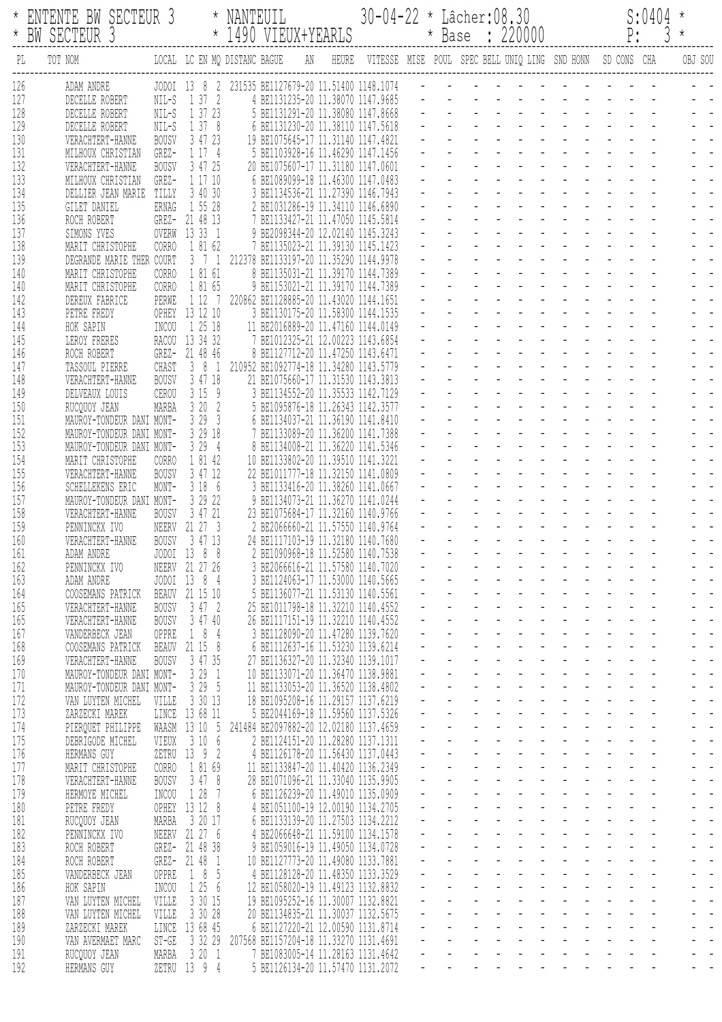| $^\star$   | ENTENTE BM SECTEUR 3<br>BW SECTEUR 3                                                                                                 |                       | $^\star$                         | NANTEUIL | * 1490 VIEUX+YEARLS                                                                   | $30 - 04 - 22 *$ Lâcher: $08.30$ |  | * Base : 220000                   | $P$ : | S:0404<br>$\frac{3}{2}$ | $\star$<br>$\star$ |
|------------|--------------------------------------------------------------------------------------------------------------------------------------|-----------------------|----------------------------------|----------|---------------------------------------------------------------------------------------|----------------------------------|--|-----------------------------------|-------|-------------------------|--------------------|
| PL         | LOCAL LC EN MQ DISTANC BAGUE     AN    HEURE    VITESSE   MISE    POUL   SPEC BELL UNIQ LING   SND HONN     SD CONS   CHA<br>TOT NOM |                       |                                  |          |                                                                                       |                                  |  |                                   |       |                         | OBJ SOU            |
| 126        | ADAM ANDRE                                                                                                                           |                       |                                  |          | JODOI 13 8 2 231535 BE1127679-20 11.51400 1148.1074 - - - - - - - - - - - - - - - - - |                                  |  |                                   |       |                         |                    |
| 127<br>128 | DECELLE ROBERT<br>DECELLE ROBERT                                                                                                     |                       | NIL-S 1 37 2<br>NIL-S 1 37 23    |          | 4 BE1131235-20 11.38070 1147.9685<br>5 BE1131291-20 11.38080 1147.8668                |                                  |  |                                   |       |                         |                    |
| 129        | DECELLE ROBERT                                                                                                                       |                       | NIL-S 1 37 8                     |          | 6 BE1131230-20 11.38110 1147.5618                                                     |                                  |  |                                   |       |                         |                    |
| 130        | VERACHTERT-HANNE                                                                                                                     | BOUSV                 | 3 47 23                          |          | 19 BE1075645-17 11.31140 1147.4821                                                    |                                  |  |                                   |       |                         |                    |
| 131        | MILHOUX CHRISTIAN                                                                                                                    | GREZ-                 | 1 17 4                           |          | 5 BE1103928-16 11.46290 1147.1456                                                     |                                  |  |                                   |       |                         |                    |
| 132        | VERACHTERT-HANNE                                                                                                                     | <b>BOUSV</b>          | 3 47 25                          |          | 20 BE1075607-17 11.31180 1147.0601                                                    |                                  |  |                                   |       |                         |                    |
| 133<br>134 | MILHOUX CHRISTIAN<br>DELLIER JEAN MARIE TILLY                                                                                        | GREZ-                 | 1 17 10<br>3 40 30               |          | 6 BE1089099-18 11.46300 1147.0483<br>3 BE1134536-21 11.27390 1146.7943                |                                  |  |                                   |       |                         |                    |
| 135        | GILET DANIEL                                                                                                                         | ERNAG                 | 1 55 28                          |          | 2 BE1031286-19 11.34110 1146.6890                                                     |                                  |  |                                   |       |                         |                    |
| 136        | ROCH ROBERT                                                                                                                          |                       | GREZ- 21 48 13                   |          | 7 BE1133427-21 11.47050 1145.5814                                                     |                                  |  |                                   |       |                         |                    |
| 137        | SIMONS YVES                                                                                                                          |                       | OVERW 13 33 1                    |          | 9 BE2098344-20 12.02140 1145.3243                                                     |                                  |  |                                   |       |                         |                    |
| 138        | MARIT CHRISTOPHE                                                                                                                     | CORRO                 | 1 81 62                          |          | 7 BE1135023-21 11.39130 1145.1423                                                     |                                  |  |                                   |       |                         |                    |
| 139<br>140 | DEGRANDE MARIE THER COURT<br>MARIT CHRISTOPHE                                                                                        | CORRO                 | 1 81 61                          |          | 3 7 1 212378 BE1133197-20 11.35290 1144.9978<br>8 BE1135031-21 11.39170 1144.7389     |                                  |  |                                   |       |                         |                    |
| 140        | MARIT CHRISTOPHE                                                                                                                     | CORRO                 | 1 81 65                          |          | 9 BE1153021-21 11.39170 1144.7389                                                     |                                  |  |                                   |       |                         |                    |
| 142        | DEREUX FABRICE                                                                                                                       | PERWE                 |                                  |          | 1 12 7 220862 BE1128885-20 11.43020 1144.1651                                         |                                  |  |                                   |       |                         |                    |
| 143        | PETRE FREDY                                                                                                                          |                       | OPHEY 13 12 10                   |          | 3 BE1130175-20 11.58300 1144.1535                                                     |                                  |  |                                   |       |                         |                    |
| 144        | HOK SAPIN                                                                                                                            | INCOU                 | 1 25 18                          |          | 11 BE2016889-20 11.47160 1144.0149                                                    |                                  |  |                                   |       |                         |                    |
| 145<br>146 | LEROY FRERES<br>ROCH ROBERT                                                                                                          |                       | RACOU 13 34 32<br>GREZ- 21 48 46 |          | 7 BE1012325-21 12.00223 1143.6854<br>8 BE1127712-20 11.47250 1143.6471                |                                  |  |                                   |       |                         |                    |
| 147        | TASSOUL PIERRE                                                                                                                       | CHAST                 | 381                              |          | 210952 BE1092774-18 11.34280 1143.5779                                                |                                  |  |                                   |       |                         |                    |
| 148        | VERACHTERT-HANNE                                                                                                                     | BOUSV                 | 3 47 18                          |          | 21 BE1075660-17 11.31530 1143.3813                                                    |                                  |  |                                   |       |                         |                    |
| 149        | DELVEAUX LOUIS                                                                                                                       | CEROU                 | 3159                             |          | 3 BE1134552-20 11.35533 1142.7129                                                     |                                  |  |                                   |       |                         |                    |
| 150<br>151 | RUCQUOY JEAN<br>MAUROY-TONDEUR DANI MONT-                                                                                            | MARBA                 | 3 20 2<br>3293                   |          | 5 BE1095876-18 11.26343 1142.3577<br>6 BE1134037-21 11.36190 1141.8410                |                                  |  |                                   |       |                         |                    |
| 152        | MAUROY-TONDEUR DANI MONT-                                                                                                            |                       | 3 29 18                          |          | 7 BE1133089-20 11.36200 1141.7388                                                     |                                  |  |                                   |       |                         |                    |
| 153        | MAUROY-TONDEUR DANI MONT-                                                                                                            |                       | 3294                             |          | 8 BE1134008-21 11.36220 1141.5346                                                     |                                  |  |                                   |       |                         |                    |
| 154        | MARIT CHRISTOPHE                                                                                                                     | CORRO                 | 1 81 42                          |          | 10 BE1133802-20 11.39510 1141.3221                                                    |                                  |  |                                   |       |                         |                    |
| 155        | VERACHTERT-HANNE                                                                                                                     | <b>BOUSV</b>          | 3 47 12                          |          | 22 BE1011777-18 11.32150 1141.0809                                                    |                                  |  |                                   |       |                         |                    |
| 156<br>157 | SCHELLEKENS ERIC<br>MAUROY-TONDEUR DANI MONT-                                                                                        | MONT-                 | 3 18 6<br>3 29 22                |          | 3 BE1133416-20 11.38260 1141.0667<br>9 BE1134073-21 11.36270 1141.0244                |                                  |  |                                   |       |                         |                    |
| 158        | VERACHTERT-HANNE                                                                                                                     | <b>BOUSV</b>          | 3 47 21                          |          | 23 BE1075684-17 11.32160 1140.9766                                                    |                                  |  |                                   |       |                         |                    |
| 159        | PENNINCKX IVO                                                                                                                        |                       | NEERV 21 27 3                    |          | 2 BE2066660-21 11.57550 1140.9764                                                     |                                  |  |                                   |       |                         |                    |
| 160        | VERACHTERT-HANNE                                                                                                                     | BOUSV                 | 3 47 13                          |          | 24 BE1117103-19 11.32180 1140.7680                                                    |                                  |  |                                   |       |                         |                    |
| 161        | ADAM ANDRE                                                                                                                           |                       | JODOI 13 8 8                     |          | 2 BE1090968-18 11.52580 1140.7538                                                     |                                  |  |                                   |       |                         |                    |
| 162<br>163 | PENNINCKX IVO<br>ADAM ANDRE                                                                                                          |                       | NEERV 21 27 26<br>JODOI 13 8 4   |          | BE2066616-21 11.57580 1140.7020<br>3 BE1124063-17 11.53000 1140.5665                  |                                  |  | <u>.</u>                          |       |                         |                    |
| 164        | COOSEMANS PATRICK                                                                                                                    |                       | BEAUV 21 15 10                   |          | 5 BE1136077-21 11.53130 1140.5561                                                     |                                  |  | <u>.</u>                          |       |                         |                    |
| 165        | VERACHTERT-HANNE                                                                                                                     | <b>BOUSV</b>          | 3 47 2                           |          | 25 BE1011798-18 11.32210 1140.4552                                                    |                                  |  |                                   |       |                         |                    |
| 165        | VERACHTERT-HANNE                                                                                                                     | <b>BOUSV</b>          | 3 47 40                          |          | 26 BE1117151-19 11.32210 1140.4552                                                    |                                  |  |                                   |       |                         |                    |
| 167        | VANDERBECK JEAN                                                                                                                      | OPPRE                 | 184                              |          | 3 BE1128090-20 11.47280 1139.7620                                                     |                                  |  |                                   |       |                         |                    |
| 168<br>169 | COOSEMANS PATRICK<br>VERACHTERT-HANNE                                                                                                | BEAUV<br><b>BOUSV</b> | 21 15 8<br>3 47 35               |          | 6 BE1112637-16 11.53230 1139.6214<br>27 BE1136327-20 11.32340 1139.1017               |                                  |  |                                   |       |                         |                    |
| 170        | MAUROY-TONDEUR DANI MONT-                                                                                                            |                       | 3291                             |          | 10 BE1133071-20 11.36470 1138.9881                                                    |                                  |  | a na kama na kama na kama         |       |                         |                    |
| 171        | MAUROY-TONDEUR DANI MONT-                                                                                                            |                       | 3 29 5                           |          | 11 BE1133053-20 11.36520 1138.4802                                                    |                                  |  |                                   |       |                         |                    |
| 172        | VAN LUYTEN MICHEL                                                                                                                    | VILLE                 | 3 30 13                          |          | 18 BE1095208-16 11.29157 1137.6219                                                    |                                  |  | and a series of the series of     |       |                         |                    |
| 173<br>174 | ZARZECKI MAREK<br>PIERQUET PHILIPPE                                                                                                  |                       | LINCE 13 68 11<br>WAASM 13 10 5  |          | 5 BE2044169-18 11.59560 1137.5326<br>241484 BE2097882-20 12.02180 1137.4659           |                                  |  | a na karamatan ana sa             |       |                         |                    |
| 175        | DEBRIGODE MICHEL                                                                                                                     | VIEUX                 | 3 10 6                           |          | 2 BE1124151-20 11.28280 1137.1311                                                     |                                  |  |                                   |       |                         |                    |
| 176        | HERMANS GUY                                                                                                                          |                       | ZETRU 13 9 2                     |          | 4 BE1126178-20 11.56430 1137.0443                                                     |                                  |  |                                   |       |                         |                    |
| 177        | MARIT CHRISTOPHE                                                                                                                     | CORRO                 | 1 81 69                          |          | 11 BE1133847-20 11.40420 1136.2349                                                    |                                  |  |                                   |       |                         |                    |
| 178        | VERACHTERT-HANNE                                                                                                                     | <b>BOUSV</b>          | 3478                             |          | 28 BE1071096-21 11.33040 1135.9905                                                    |                                  |  |                                   |       |                         |                    |
| 179<br>180 | HERMOYE MICHEL<br>PETRE FREDY                                                                                                        | INCOU                 | 1 28<br>- 7<br>OPHEY 13 12 8     |          | 6 BE1126239-20 11.49010 1135.0909<br>4 BE1051100-19 12.00190 1134.2705                |                                  |  | المتحاف والمتحاف والمتحافية       |       |                         |                    |
| 181        | RUCQUOY JEAN                                                                                                                         | MARBA                 | 3 20 17                          |          | 6 BE1133139-20 11.27503 1134.2212                                                     |                                  |  | and the contract of the state of  |       |                         |                    |
| 182        | PENNINCKX IVO                                                                                                                        |                       | NEERV 21 27 6                    |          | 4 BE2066648-21 11.59100 1134.1578                                                     |                                  |  | <u> 2012 - Louis Louis III, m</u> |       |                         |                    |
| 183        | ROCH ROBERT                                                                                                                          |                       | GREZ- 21 48 38                   |          | 9 BE1059016-19 11.49050 1134.0728                                                     |                                  |  |                                   |       |                         |                    |
| 184        | ROCH ROBERT                                                                                                                          |                       | GREZ- 21 48 1                    |          | 10 BE1127773-20 11.49080 1133.7881                                                    |                                  |  |                                   |       |                         |                    |
| 185<br>186 | VANDERBECK JEAN                                                                                                                      | OPPRE<br>INCOU        | 1 8 5<br>1256                    |          | 4 BE1128128-20 11.48350 1133.3529<br>12 BE1058020-19 11.49123 1132.8832               |                                  |  | l la partida de la                |       |                         |                    |
| 187        | HOK SAPIN<br>VAN LUYTEN MICHEL                                                                                                       | VILLE                 | 3 30 15                          |          | 19 BE1095252-16 11.30007 1132.8821                                                    |                                  |  | and the state of the state of the |       |                         |                    |
| 188        | VAN LUYTEN MICHEL                                                                                                                    | VILLE                 | 3 30 28                          |          | 20 BE1134835-21 11.30037 1132.5675                                                    |                                  |  | and the state of the state of the |       |                         |                    |
| 189        | ZARZECKI MAREK                                                                                                                       |                       | LINCE 13 68 45                   |          | 6 BE1127220-21 12.00590 1131.8714                                                     |                                  |  | and a series and a series of      |       |                         |                    |
| 190        | VAN AVERMAET MARC                                                                                                                    | $ST-GE$               | 3 32 29                          |          | 207568 BE1157204-18 11.33270 1131.4691                                                |                                  |  |                                   |       |                         |                    |
| 191<br>192 | RUCQUOY JEAN<br>HERMANS GUY                                                                                                          | MARBA<br>ZETRU        | 3201<br>13 9 4                   |          | 7 BE1083005-14 11.28163 1131.4642<br>5 BE1126134-20 11.57470 1131.2072                |                                  |  |                                   |       |                         |                    |
|            |                                                                                                                                      |                       |                                  |          |                                                                                       |                                  |  |                                   |       |                         |                    |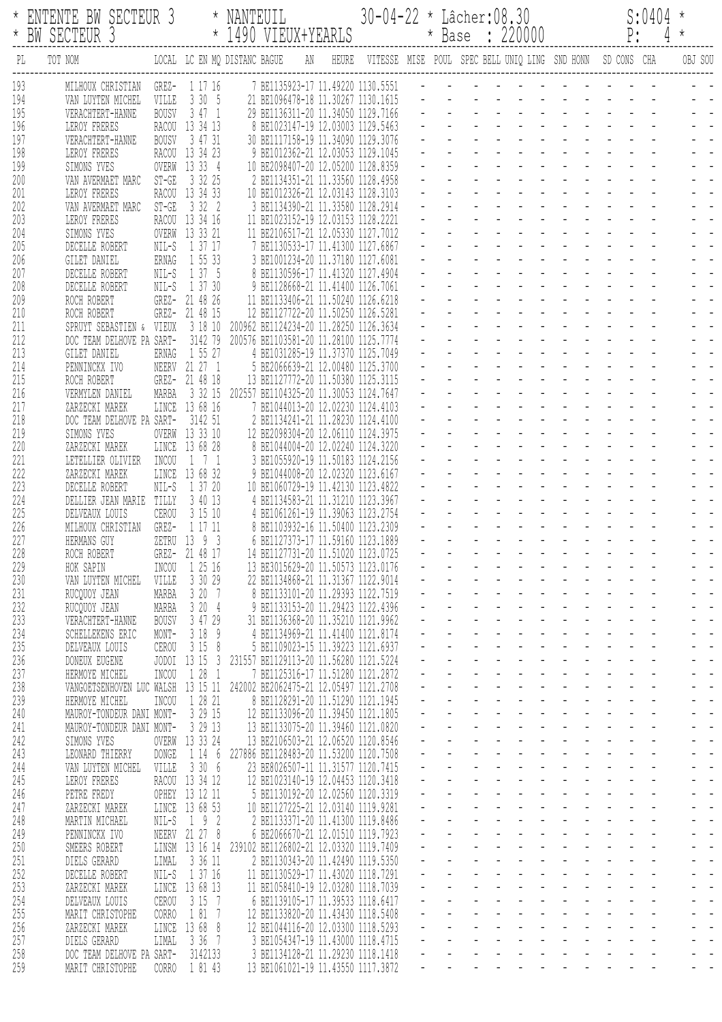| $^\star$   | ENTENTE BM SECTEUR 3<br>BW SECTEUR 3                   |                       | $^\star$                         | NANTEUIL<br>* 1490 VIEUX+YEARLS                                                                  |                                                                        | 30-04-22 * |  | $L\hat{a}$ cher: $08.30$ | * Base : 220000                            | P: | S:0404 | $\star$<br>$4 *$ |
|------------|--------------------------------------------------------|-----------------------|----------------------------------|--------------------------------------------------------------------------------------------------|------------------------------------------------------------------------|------------|--|--------------------------|--------------------------------------------|----|--------|------------------|
| PL         | TOT NOM                                                |                       |                                  | LOCAL LC EN MQ DISTANC BAGUE AN HEURE VITESSE MISE POUL SPEC BELL UNIQ LING SND HONN SD CONS CHA |                                                                        |            |  |                          |                                            |    |        | OBJ SOU          |
| 193        | MILHOUX CHRISTIAN GREZ- 1 17 16                        |                       |                                  |                                                                                                  |                                                                        |            |  |                          |                                            |    |        |                  |
| 194<br>195 | VAN LUYTEN MICHEL VILLE 3 30 5<br>VERACHTERT-HANNE     |                       | BOUSV 3 47 1                     | 21 BE1096478-18 11.30267 1130.1615<br>29 BE1136311-20 11.34050 1129.7166                         |                                                                        |            |  |                          |                                            |    |        |                  |
| 196        | LEROY FRERES                                           |                       | RACOU 13 34 13                   | 8 BE1023147-19 12.03003 1129.5463                                                                |                                                                        |            |  |                          |                                            |    |        |                  |
| 197        | VERACHTERT-HANNE                                       | BOUSV                 | 3 47 31                          | 30 BE1117158-19 11.34090 1129.3076                                                               |                                                                        |            |  |                          |                                            |    |        |                  |
| 198<br>199 | LEROY FRERES<br>SIMONS YVES                            |                       | RACOU 13 34 23<br>OVERW 13 33 4  | 10 BE2098407-20 12.05200 1128.8359                                                               | 9 BE1012362-21 12.03053 1129.1045                                      |            |  |                          |                                            |    |        |                  |
| 200        | VAN AVERMAET MARC                                      |                       | ST-GE 3 32 25                    |                                                                                                  | 2 BE1134351-21 11.33560 1128.4958                                      |            |  |                          |                                            |    |        |                  |
| 201        | LEROY FRERES                                           |                       | RACOU 13 34 33                   | 10 BE1012326-21 12.03143 1128.3103                                                               |                                                                        |            |  |                          |                                            |    |        |                  |
| 202        | VAN AVERMAET MARC                                      |                       | ST-GE 3 32 2                     |                                                                                                  | 3 BE1134390-21 11.33580 1128.2914                                      |            |  |                          |                                            |    |        |                  |
| 203<br>204 | LEROY FRERES<br>SIMONS YVES                            |                       | RACOU 13 34 16<br>OVERW 13 33 21 | 11 BE1023152-19 12.03153 1128.2221<br>11 BE2106517-21 12.05330 1127.7012                         |                                                                        |            |  |                          |                                            |    |        |                  |
| 205        | DECELLE ROBERT                                         |                       | NIL-S 1 37 17                    |                                                                                                  | 7 BE1130533-17 11.41300 1127.6867                                      |            |  |                          |                                            |    |        |                  |
| 206        | GILET DANIEL                                           |                       | ERNAG 1 55 33                    |                                                                                                  | 3 BE1001234-20 11.37180 1127.6081                                      |            |  |                          |                                            |    |        |                  |
| 207<br>208 | DECELLE ROBERT                                         |                       | NIL-S 1 37 5<br>NIL-S 1 37 30    |                                                                                                  | 8 BE1130596-17 11.41320 1127.4904<br>9 BE1128668-21 11.41400 1126.7061 |            |  |                          |                                            |    |        |                  |
| 209        | DECELLE ROBERT<br>ROCH ROBERT                          |                       | GREZ- 21 48 26                   | 11 BE1133406-21 11.50240 1126.6218                                                               |                                                                        |            |  |                          |                                            |    |        |                  |
| 210        | ROCH ROBERT                                            |                       | GREZ- 21 48 15                   | 12 BE1127722-20 11.50250 1126.5281                                                               |                                                                        |            |  |                          |                                            |    |        |                  |
| 211        | SPRUYT SEBASTIEN & VIEUX 3 18 10                       |                       |                                  | 200962 BE1124234-20 11.28250 1126.3634                                                           |                                                                        |            |  |                          |                                            |    |        |                  |
| 212<br>213 | DOC TEAM DELHOVE PA SART- 3142 79<br>GILET DANIEL      | ERNAG                 | 1 55 27                          | 200576 BE1103581-20 11.28100 1125.7774                                                           | 4 BE1031285-19 11.37370 1125.7049                                      |            |  |                          |                                            |    |        |                  |
| 214        | PENNINCKX IVO                                          |                       | NEERV 21 27 1                    |                                                                                                  | 5 BE2066639-21 12.00480 1125.3700                                      |            |  |                          |                                            |    |        |                  |
| 215        | ROCH ROBERT                                            |                       | GREZ- 21 48 18                   | 13 BE1127772-20 11.50380 1125.3115                                                               |                                                                        |            |  |                          |                                            |    |        |                  |
| 216        | VERMYLEN DANIEL                                        | MARBA                 | 3 32 15                          | 202557 BE1104325-20 11.30053 1124.7647                                                           |                                                                        |            |  |                          |                                            |    |        |                  |
| 217<br>218 | ZARZECKI MAREK<br>DOC TEAM DELHOVE PA SART- 3142 51    |                       | LINCE 13 68 16                   |                                                                                                  | 7 BE1044013-20 12.02230 1124.4103<br>2 BE1134241-21 11.28230 1124.4100 |            |  |                          |                                            |    |        |                  |
| 219        | SIMONS YVES                                            |                       | OVERW 13 33 10                   | 12 BE2098304-20 12.06110 1124.3975                                                               |                                                                        |            |  |                          |                                            |    |        |                  |
| 220        | ZARZECKI MAREK                                         |                       | LINCE 13 68 28                   |                                                                                                  | 8 BE1044004-20 12.02240 1124.3220                                      |            |  |                          |                                            |    |        |                  |
| 221<br>222 | LETELLIER OLIVIER                                      | INCOU                 | $1 \t 7 \t 1$<br>LINCE 13 68 32  |                                                                                                  | 3 BE1055920-19 11.50183 1124.2156<br>9 BE1044008-20 12.02320 1123.6167 |            |  |                          |                                            |    |        |                  |
| 223        | ZARZECKI MAREK<br>DECELLE ROBERT                       |                       | NIL-S 1 37 20                    | 10 BE1060729-19 11.42130 1123.4822                                                               |                                                                        |            |  |                          |                                            |    |        |                  |
| 224        | DELLIER JEAN MARIE TILLY 3 40 13                       |                       |                                  |                                                                                                  | 4 BE1134583-21 11.31210 1123.3967                                      |            |  |                          |                                            |    |        |                  |
| 225        | DELVEAUX LOUIS                                         | CEROU                 | 3 15 10                          |                                                                                                  | 4 BE1061261-19 11.39063 1123.2754                                      |            |  |                          |                                            |    |        |                  |
| 226<br>227 | MILHOUX CHRISTIAN<br>HERMANS GUY                       | GREZ-                 | 1 17 11<br>ZETRU 13 9 3          |                                                                                                  | 8 BE1103932-16 11.50400 1123.2309<br>6 BE1127373-17 11.59160 1123.1889 |            |  |                          |                                            |    |        |                  |
| 228        | ROCH ROBERT                                            |                       | GREZ- 21 48 17                   | 14 BE1127731-20 11.51020 1123.0725                                                               |                                                                        |            |  |                          |                                            |    |        |                  |
| 229        | HOK SAPIN                                              | INCOU                 | 1 25 16                          | 13 BE3015629-20 11.50573 1123.0176                                                               |                                                                        |            |  |                          |                                            |    |        |                  |
| 230        | VAN LUYTEN MICHEL                                      | VILLE                 | 3 30 29                          | 22 BE1134868-21 11.31367 1122.9014                                                               | 8 BE1133101-20 11.29393 1122.7519                                      |            |  |                          | <u> 1914 - Johann Johann Stoff, markin</u> |    |        |                  |
| 231<br>232 | RUCQUOY JEAN<br>RUCQUOY JEAN                           | MARBA<br>MARBA        | 3 20 7<br>3204                   |                                                                                                  | 9 BE1133153-20 11.29423 1122.4396                                      |            |  |                          |                                            |    |        |                  |
| 233        | VERACHTERT-HANNE                                       | <b>BOUSV</b>          | 3 47 29                          | 31 BE1136368-20 11.35210 1121.9962                                                               |                                                                        |            |  |                          |                                            |    |        |                  |
| 234        | SCHELLEKENS ERIC                                       | MONT-                 | 3189                             |                                                                                                  | 4 BE1134969-21 11.41400 1121.8174                                      |            |  |                          |                                            |    |        |                  |
| 235<br>236 | DELVEAUX LOUIS                                         | CEROU                 | 315<br>- 8<br>JODOI 13 15 3      | 231557 BE1129113-20 11.56280 1121.5224                                                           | 5 BE1109023-15 11.39223 1121.6937                                      |            |  |                          |                                            |    |        |                  |
| 237        | DONEUX EUGENE<br>HERMOYE MICHEL                        | INCOU                 | 1281                             |                                                                                                  | 7 BE1125316-17 11.51280 1121.2872                                      |            |  |                          |                                            |    |        |                  |
| 238        | VANGOETSENHOVEN LUC WALSH 13 15 11                     |                       |                                  | 242002 BE2062475-21 12.05497 1121.2708                                                           |                                                                        |            |  |                          |                                            |    |        |                  |
| 239        | HERMOYE MICHEL                                         | INCOU                 | 1 28 21                          |                                                                                                  | 8 BE1128291-20 11.51290 1121.1945                                      |            |  |                          |                                            |    |        |                  |
| 240<br>241 | MAUROY-TONDEUR DANI MONT-<br>MAUROY-TONDEUR DANI MONT- |                       | 3 29 15<br>3 29 13               | 12 BE1133096-20 11.39450 1121.1805<br>13 BE1133075-20 11.39460 1121.0820                         |                                                                        |            |  |                          |                                            |    |        |                  |
| 242        | SIMONS YVES                                            |                       | OVERW 13 33 24                   | 13 BE2106503-21 12.06520 1120.8546                                                               |                                                                        |            |  |                          |                                            |    |        |                  |
| 243        | LEONARD THIERRY                                        | DONGE                 | 1 14 6                           | 227886 BE1128483-20 11.53200 1120.7508                                                           |                                                                        |            |  |                          |                                            |    |        |                  |
| 244        | VAN LUYTEN MICHEL                                      | VILLE                 | 3 30 6                           | 23 BE8026507-11 11.31577 1120.7415                                                               |                                                                        |            |  |                          |                                            |    |        |                  |
| 245<br>246 | LEROY FRERES<br>PETRE FREDY                            |                       | RACOU 13 34 12<br>OPHEY 13 12 11 | 12 BE1023140-19 12.04453 1120.3418                                                               | 5 BE1130192-20 12.02560 1120.3319                                      |            |  |                          |                                            |    |        |                  |
| 247        | ZARZECKI MAREK                                         |                       | LINCE 13 68 53                   | 10 BE1127225-21 12.03140 1119.9281                                                               |                                                                        |            |  |                          |                                            |    |        |                  |
| 248        | MARTIN MICHAEL                                         | NIL-S                 | 192                              |                                                                                                  | 2 BE1133371-20 11.41300 1119.8486                                      |            |  |                          |                                            |    |        |                  |
| 249        | PENNINCKX IVO                                          |                       | NEERV 21 27 8                    |                                                                                                  | 6 BE2066670-21 12.01510 1119.7923                                      |            |  |                          |                                            |    |        |                  |
| 250<br>251 | SMEERS ROBERT<br>DIELS GERARD                          | LIMAL                 | 3 36 11                          | LINSM 13 16 14 239102 BE1126802-21 12.03320 1119.7409                                            | 2 BE1130343-20 11.42490 1119.5350                                      |            |  |                          |                                            |    |        |                  |
| 252        | DECELLE ROBERT                                         | NIL-S                 | 1 37 16                          | 11 BE1130529-17 11.43020 1118.7291                                                               |                                                                        |            |  |                          |                                            |    |        |                  |
| 253        | ZARZECKI MAREK                                         |                       | LINCE 13 68 13                   | 11 BE1058410-19 12.03280 1118.7039                                                               |                                                                        |            |  |                          |                                            |    |        |                  |
| 254<br>255 | DELVEAUX LOUIS<br>MARIT CHRISTOPHE                     | CEROU<br><b>CORRO</b> | 3157<br>1 81 7                   | 12 BE1133820-20 11.43430 1118.5408                                                               | 6 BE1139105-17 11.39533 1118.6417                                      |            |  |                          | and the second control of the              |    |        |                  |
| 256        | ZARZECKI MAREK                                         | LINCE                 | 13 68 8                          | 12 BE1044116-20 12.03300 1118.5293                                                               |                                                                        |            |  |                          |                                            |    |        |                  |
| 257        | DIELS GERARD                                           | LIMAL                 | 3 36 7                           |                                                                                                  | 3 BE1054347-19 11.43000 1118.4715                                      |            |  |                          |                                            |    |        |                  |
| 258        | DOC TEAM DELHOVE PA SART-                              |                       | 3142133                          |                                                                                                  | 3 BE1134128-21 11.29230 1118.1418                                      |            |  |                          |                                            |    |        |                  |
| 259        | MARIT CHRISTOPHE                                       | <b>CORRO</b>          | 1 81 43                          | 13 BE1061021-19 11.43550 1117.3872                                                               |                                                                        |            |  |                          |                                            |    |        |                  |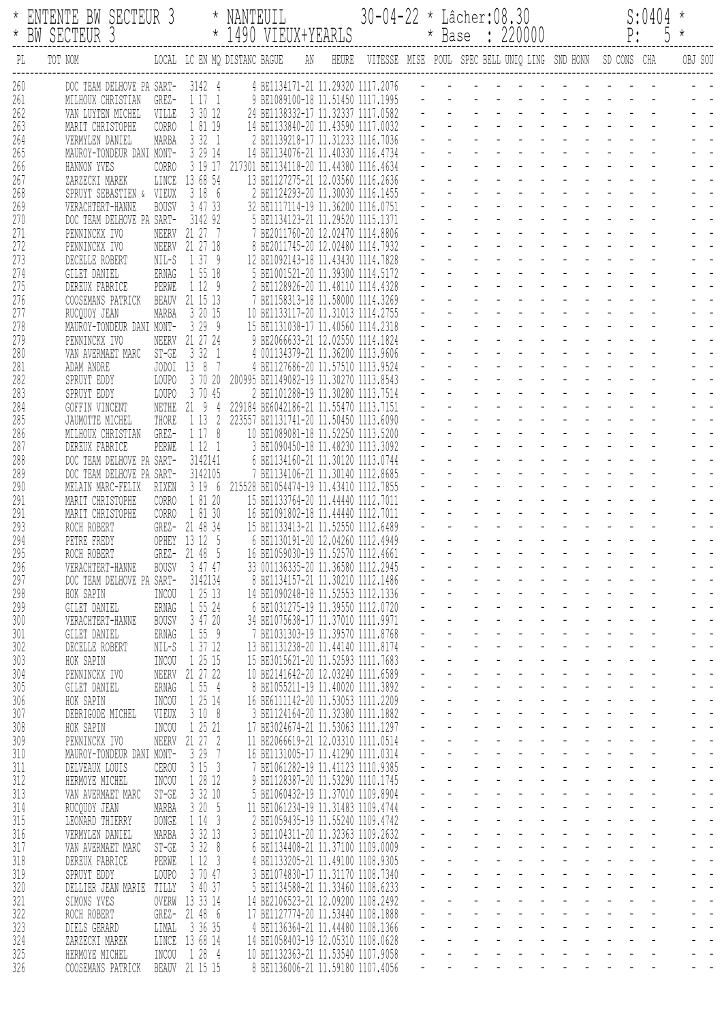|                   | ENTENTE BW SECTEUR 3<br>* BW SECTEUR 3                                                |                                 | NANTEUIL<br>* 1490 VIEUX+YEARLS                                                                              | 30-04-22 * Lâcher:08.30                                          |  |  | * Base : 220000 |  |  | S:0404<br>P: 5 |         |
|-------------------|---------------------------------------------------------------------------------------|---------------------------------|--------------------------------------------------------------------------------------------------------------|------------------------------------------------------------------|--|--|-----------------|--|--|----------------|---------|
| PL                | TOT NOM                                                                               |                                 | LOCAL LC EN MQ DISTANC BAGUE<br>AN                                                                           | HEURE VITESSE MISE POUL SPEC BELL UNIQ LING SND HONN SD CONS CHA |  |  |                 |  |  |                | OBJ SOU |
| 260<br>261<br>262 | DOC TEAM DELHOVE PA SART-<br>MILHOUX CHRISTIAN<br>GREZ-<br>VILLE<br>VAN LUYTEN MICHEL | 3142 4<br>1171<br>3 30 12       | 4 BE1134171-21 11.29320 1117.2076<br>9 BE1089100-18 11.51450 1117.1995<br>24 BE1138332-17 11.32337 1117.0582 |                                                                  |  |  |                 |  |  |                |         |
| 263<br>264        | <b>CORRO</b><br>MARIT CHRISTOPHE<br>VERMYLEN DANIEL<br>MARBA                          | 1 81 19<br>3321                 | 14 BE1133840-20 11.43590 1117.0032<br>2 BE1139218-17 11.31233 1116.7036                                      |                                                                  |  |  |                 |  |  |                |         |
| 265<br>266        | MAUROY-TONDEUR DANI MONT-<br>CORRO<br>HANNON YVES                                     | 3 29 14<br>3 19 17              | 14 BE1134076-21 11.40330 1116.4734<br>217301 BE1134118-20 11.44380 1116.4634                                 |                                                                  |  |  |                 |  |  |                |         |
| 267<br>268        | LINCE<br>ZARZECKI MAREK<br>SPRUYT SEBASTIEN & VIEUX                                   | 13 68 54<br>3 18 6              | 13 BE1127275-21 12.03560 1116.2636<br>2 BE1124293-20 11.30030 1116.1455                                      |                                                                  |  |  |                 |  |  |                |         |
| 269<br>270        | VERACHTERT-HANNE<br><b>BOUSV</b><br>DOC TEAM DELHOVE PA SART-                         | 3 47 33<br>3142 92              | 32 BE1117114-19 11.36200 1116.0751<br>5 BE1134123-21 11.29520 1115.1371                                      |                                                                  |  |  |                 |  |  |                |         |
| 271<br>272        | PENNINCKX IVO<br>NEERV<br>PENNINCKX IVO<br>NEERV                                      | 21 27 7<br>21 27 18             | 7 BE2011760-20 12.02470 1114.8806<br>8 BE2011745-20 12.02480 1114.7932                                       |                                                                  |  |  |                 |  |  |                |         |
| 273<br>274        | NIL-S<br>DECELLE ROBERT<br>ERNAG<br>GILET DANIEL                                      | 1 37 9<br>1 55 18               | 12 BE1092143-18 11.43430 1114.7828<br>5 BE1001521-20 11.39300 1114.5172                                      |                                                                  |  |  |                 |  |  |                |         |
| 275<br>276        | PERWE<br>DEREUX FABRICE<br>COOSEMANS PATRICK                                          | 1 12 9<br>BEAUV 21 15 13        | 2 BE1128926-20 11.48110 1114.4328<br>7 BE1158313-18 11.58000 1114.3269                                       |                                                                  |  |  |                 |  |  |                |         |
| 277<br>278        | RUCQUOY JEAN<br>MARBA<br>MAUROY-TONDEUR DANI MONT-                                    | 3 20 15<br>3299                 | 10 BE1133117-20 11.31013 1114.2755<br>15 BE1131038-17 11,40560 1114.2318                                     |                                                                  |  |  |                 |  |  |                |         |
| 279<br>280        | PENNINCKX IVO<br>NEERV<br>$ST-GE$<br>VAN AVERMAET MARC                                | 21 27 24<br>3 32 1              | 9 BE2066633-21 12.02550 1114.1824<br>4 001134379-21 11.36200 1113.9606                                       |                                                                  |  |  |                 |  |  |                |         |
| 281<br>282        | ADAM ANDRE<br>LOUPO<br>SPRUYT EDDY                                                    | JODOI 13 8 7<br>3 70 20         | 4 BE1127686-20 11.57510 1113.9524<br>200995 BE1149082-19 11.30270 1113.8543                                  |                                                                  |  |  |                 |  |  |                |         |
| 283<br>284        | SPRUYT EDDY<br>LOUPO<br>NETHE<br>GOFFIN VINCENT                                       | 3 70 45<br>$21 \t9 \t4$         | 2 BE1101288-19 11.30280 1113.7514<br>229184 BE6042186-21 11.55470 1113.7151                                  |                                                                  |  |  |                 |  |  |                |         |
| 285<br>286        | THORE<br>JAUMOTTE MICHEL<br>GREZ-<br>MILHOUX CHRISTIAN                                | 1 1 3 2<br>1178                 | 223557 BE1131741-20 11.50450 1113.6090<br>10 BE1089081-18 11.52250 1113.5200                                 |                                                                  |  |  |                 |  |  |                |         |
| 287<br>288        | PERWE<br>DEREUX FABRICE<br>DOC TEAM DELHOVE PA SART-                                  | 1 12 1<br>3142141               | 3 BE1090450-18 11.48230 1113.3092<br>6 BE1134160-21 11.30120 1113.0744                                       |                                                                  |  |  |                 |  |  |                |         |
| 289<br>290        | DOC TEAM DELHOVE PA SART-<br>RIXEN<br>MELAIN MARC-FELIX                               | 3142105<br>3196                 | 7 BE1134106-21 11.30140 1112.8685<br>215528 BE1054474-19 11.43410 1112.7855                                  |                                                                  |  |  |                 |  |  |                |         |
| 291<br>291        | MARIT CHRISTOPHE<br><b>CORRO</b><br>MARIT CHRISTOPHE<br><b>CORRO</b>                  | 1 81 20<br>1 81 30              | 15 BE1133764-20 11.44440 1112.7011<br>16 BE1091802-18 11.44440 1112.7011                                     |                                                                  |  |  |                 |  |  |                |         |
| 293<br>294        | ROCH ROBERT<br>PETRE FREDY                                                            | GREZ- 21 48 34<br>OPHEY 13 12 5 | 15 BE1133413-21 11,52550 1112.6489<br>6 BE1130191-20 12.04260 1112.4949                                      |                                                                  |  |  |                 |  |  |                |         |
| 295<br>296        | ROCH ROBERT<br>GREZ-<br>VERACHTERT-HANNE<br><b>BOUSV</b>                              | 21 48 5<br>3 47 47              | 16 BE1059030-19 11.52570 1112.4661<br>33 001136335-20 11.36580 1112.2945                                     |                                                                  |  |  |                 |  |  |                |         |
| 297<br>298        | DOC TEAM DELHOVE PA SART-<br>HOK SAPIN<br>INCOU                                       | 3142134<br>1 25 13              | 8 BE1134157-21 11.30210 1112.1486<br>14 BE1090248-18 11.52553 1112.1336                                      |                                                                  |  |  |                 |  |  |                |         |
| 299<br>300        | ERNAG<br>GILET DANIEL<br><b>BOUSV</b><br>VERACHTERT-HANNE                             | 1 55 24<br>3 47 20              | 6 BE1031275-19 11.39550 1112.0720<br>34 BE1075638-17 11.37010 1111.9971                                      |                                                                  |  |  |                 |  |  |                |         |
| 301<br>302        | ERNAG<br>GILET DANIEL<br>DECELLE ROBERT<br>NIL-S                                      | 1 55 9<br>1 37 12               | 7 BE1031303-19 11.39570 1111.8768<br>13 BE1131238-20 11.44140 1111.8174                                      |                                                                  |  |  |                 |  |  |                |         |
| 303<br>304        | HOK SAPIN<br>INCOU<br>PENNINCKX IVO<br>NEERV                                          | 1 25 15<br>21 27 22             | 15 BE3015621-20 11.52593 1111.7683<br>10 BE2141642-20 12.03240 1111.6589                                     |                                                                  |  |  |                 |  |  |                |         |
| 305<br>306        | ERNAG<br>GILET DANIEL<br>INCOU<br>HOK SAPIN                                           | 1 55 4<br>1 25 14               | 8 BE1055211-19 11.40020 1111.3892<br>16 BE6111142-20 11.53053 1111.2209                                      |                                                                  |  |  |                 |  |  |                |         |
| 307<br>308        | DEBRIGODE MICHEL<br>VIEUX<br>HOK SAPIN<br>INCOU                                       | 3108<br>1 25 21                 | 3 BE1124164-20 11.32380 1111.1882<br>17 BE3024674-21 11,53063 1111,1297                                      |                                                                  |  |  |                 |  |  |                |         |
| 309<br>310        | PENNINCKX IVO<br>NEERV<br>MAUROY-TONDEUR DANI MONT-                                   | 21 27 2<br>7<br>3 29            | 11 BE2066619-21 12.03310 1111.0514<br>16 BE1131005-17 11.41290 1111.0314                                     |                                                                  |  |  |                 |  |  |                |         |
| 311<br>312        | <b>CEROU</b><br>DELVEAUX LOUIS<br>HERMOYE MICHEL<br>INCOU                             | 3153<br>1 28 12                 | BE1061282-19 11.41123 1110.9385<br>9 BE1128387-20 11.53290 1110.1745                                         |                                                                  |  |  |                 |  |  |                |         |
| 313<br>314        | $ST-GE$<br>VAN AVERMAET MARC<br>RUCQUOY JEAN<br>MARBA                                 | 3 32 10<br>3 20 5               | 5 BE1060432-19 11.37010 1109.8904<br>11 BE1061234-19 11.31483 1109.4744                                      |                                                                  |  |  |                 |  |  |                |         |
| 315<br>316        | LEONARD THIERRY<br>DONGE<br>MARBA<br>VERMYLEN DANIEL                                  | 1 14<br>- 3<br>3 32 13          | 2 BE1059435-19 11.55240 1109.4742<br>3 BE1104311-20 11.32363 1109.2632                                       |                                                                  |  |  |                 |  |  |                |         |
| 317<br>318        | $ST-GE$<br>VAN AVERMAET MARC<br>DEREUX FABRICE<br>PERWE                               | 3 32<br>8<br>1123               | 6 BE1134408-21 11.37100 1109.0009<br>4 BE1133205-21 11.49100 1108.9305                                       |                                                                  |  |  |                 |  |  |                |         |
| 319<br>320        | SPRUYT EDDY<br>LOUPO<br>DELLIER JEAN MARIE<br>TILLY                                   | 3 70 47<br>3 40 37              | 3 BE1074830-17 11.31170 1108.7340<br>5 BE1134588-21 11.33460 1108.6233                                       |                                                                  |  |  |                 |  |  |                |         |
| 321<br>322        | SIMONS YVES<br>OVERW<br>ROCH ROBERT<br>$GREZ -$                                       | 13 33 14<br>21 48 6             | 14 BE2106523-21 12.09200 1108.2492<br>17 BE1127774-20 11.53440 1108.1888                                     |                                                                  |  |  |                 |  |  |                |         |
| 323<br>324        | LIMAL<br>DIELS GERARD<br>ZARZECKI MAREK<br>LINCE                                      | 3 36 35<br>13 68 14             | 4 BE1136364-21 11.44480 1108.1366<br>14 BE1058403-19 12.05310 1108.0628                                      |                                                                  |  |  |                 |  |  |                |         |
| 325<br>326        | HERMOYE MICHEL<br>INCOU<br>COOSEMANS PATRICK<br>BEAUV                                 | 1 28 4<br>21 15 15              | 10 BE1132363-21 11.53540 1107.9058<br>8 BE1136006-21 11.59180 1107.4056                                      |                                                                  |  |  |                 |  |  |                |         |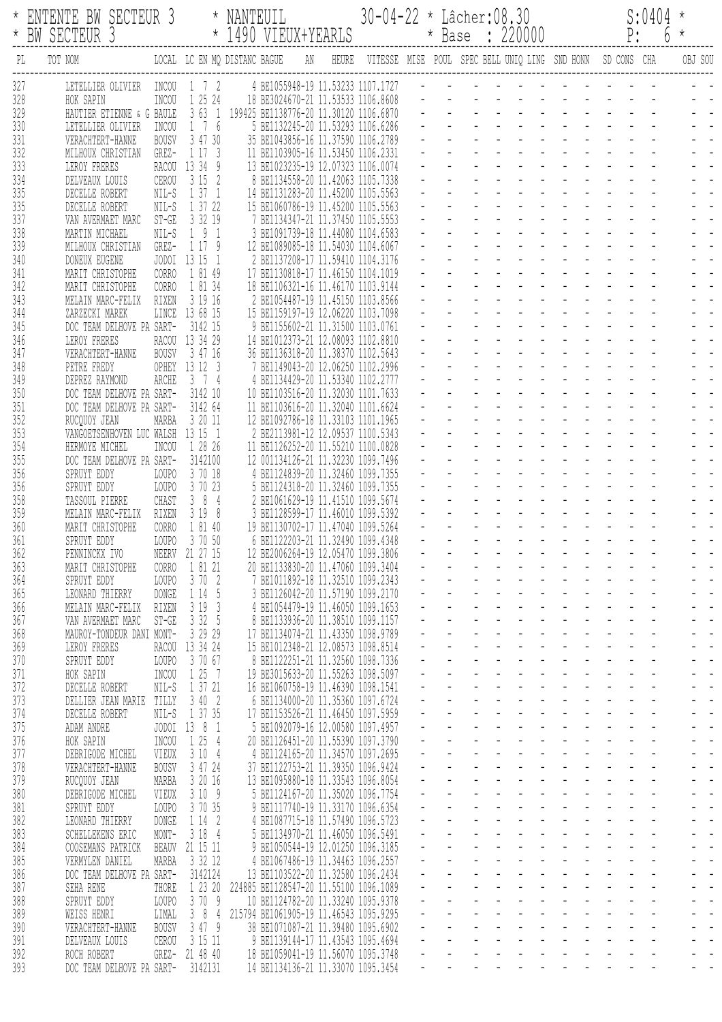|            | ENTENTE BW SECTEUR 3<br>BW SECTEUR 3                                 |                                 | NANTEUIL<br>* 1490 VIEUX+YEARLS                                                     | 30-04-22 * Lâcher:08.30                                             |  |  | * Base : 220000 |  |  | S:0404<br>$P: 6 *$ |         |
|------------|----------------------------------------------------------------------|---------------------------------|-------------------------------------------------------------------------------------|---------------------------------------------------------------------|--|--|-----------------|--|--|--------------------|---------|
| PL         | LOCAL LC EN MQ DISTANC BAGUE<br>TOT NOM                              |                                 |                                                                                     | AN HEURE VITESSE MISE POUL SPEC-BELL-UNIQ-LING SND-HONN SD-CONS CHA |  |  |                 |  |  |                    | OBJ SOU |
| 327        | LETELLIER OLIVIER<br>INCOU                                           | 1 7 2                           | 4 BE1055948-19 11.53233 1107.1727                                                   |                                                                     |  |  |                 |  |  |                    |         |
| 328<br>329 | INCOU<br>HOK SAPIN<br>HAUTIER ETIENNE & G BAULE                      | 1 25 24                         | 18 BE3024670-21 11.53533 1106.8608<br>3 63 1 199425 BE1138776-20 11.30120 1106.6870 |                                                                     |  |  |                 |  |  |                    |         |
| 330        | LETELLIER OLIVIER<br>INCOU                                           | 1 7 6                           | 5 BE1132245-20 11.53293 1106.6286                                                   |                                                                     |  |  |                 |  |  |                    |         |
| 331        | <b>BOUSV</b><br>VERACHTERT-HANNE                                     | 3 47 30                         | 35 BE1043856-16 11.37590 1106.2789                                                  |                                                                     |  |  |                 |  |  |                    |         |
| 332<br>333 | GREZ-<br>MILHOUX CHRISTIAN<br>LEROY FRERES                           | 1 17 3<br>RACOU 13 34 9         | 11 BE1103905-16 11.53450 1106.2331<br>13 BE1023235-19 12.07323 1106.0074            |                                                                     |  |  |                 |  |  |                    |         |
| 334        | CEROU<br>DELVEAUX LOUIS                                              | 3152                            | 8 BE1134558-20 11.42063 1105.7338                                                   |                                                                     |  |  |                 |  |  |                    |         |
| 335        | NIL-S<br>DECELLE ROBERT                                              | 1371                            | 14 BE1131283-20 11.45200 1105.5563                                                  |                                                                     |  |  |                 |  |  |                    |         |
| 335<br>337 | NIL-S<br>DECELLE ROBERT<br>$ST-GE$<br>VAN AVERMAET MARC              | 1 37 22<br>3 32 19              | 15 BE1060786-19 11.45200 1105.5563<br>7 BE1134347-21 11.37450 1105.5553             |                                                                     |  |  |                 |  |  |                    |         |
| 338        | MARTIN MICHAEL<br>NIL-S                                              | 191                             | 3 BE1091739-18 11.44080 1104.6583                                                   |                                                                     |  |  |                 |  |  |                    |         |
| 339        | GREZ-<br>MILHOUX CHRISTIAN                                           | 1 17 9                          | 12 BE1089085-18 11,54030 1104,6067                                                  |                                                                     |  |  |                 |  |  |                    |         |
| 340        | DONEUX EUGENE                                                        | JODOI 13 15 1                   | 2 BE1137208-17 11.59410 1104.3176<br>17 BE1130818-17 11.46150 1104.1019             |                                                                     |  |  |                 |  |  |                    |         |
| 341<br>342 | MARIT CHRISTOPHE<br><b>CORRO</b><br>MARIT CHRISTOPHE<br><b>CORRO</b> | 1 81 49<br>1 81 34              | 18 BE1106321-16 11.46170 1103.9144                                                  |                                                                     |  |  |                 |  |  |                    |         |
| 343        | RIXEN<br>MELAIN MARC-FELIX                                           | 3 19 16                         | 2 BE1054487-19 11.45150 1103.8566                                                   |                                                                     |  |  |                 |  |  |                    |         |
| 344        | ZARZECKI MAREK<br>LINCE                                              | 13 68 15                        | 15 BE1159197-19 12.06220 1103.7098                                                  |                                                                     |  |  |                 |  |  |                    |         |
| 345<br>346 | DOC TEAM DELHOVE PA SART-<br>LEROY FRERES                            | 3142 15<br>RACOU 13 34 29       | 9 BE1155602-21 11.31500 1103.0761<br>14 BE1012373-21 12.08093 1102.8810             |                                                                     |  |  |                 |  |  |                    |         |
| 347        | VERACHTERT-HANNE<br><b>BOUSV</b>                                     | 3 47 16                         | 36 BE1136318-20 11.38370 1102.5643                                                  |                                                                     |  |  |                 |  |  |                    |         |
| 348        | PETRE FREDY                                                          | OPHEY 13 12 3                   | 7 BE1149043-20 12.06250 1102.2996                                                   |                                                                     |  |  |                 |  |  |                    |         |
| 349<br>350 | ARCHE<br>DEPREZ RAYMOND<br>DOC TEAM DELHOVE PA SART-                 | 3 7 4<br>3142 10                | 4 BE1134429-20 11.53340 1102.2777<br>10 BE1103516-20 11.32030 1101.7633             |                                                                     |  |  |                 |  |  |                    |         |
| 351        | DOC TEAM DELHOVE PA SART-                                            | 3142 64                         | 11 BE1103616-20 11.32040 1101.6624                                                  |                                                                     |  |  |                 |  |  |                    |         |
| 352        | RUCQUOY JEAN<br>MARBA                                                | 3 20 11                         | 12 BE1092786-18 11.33103 1101.1965                                                  |                                                                     |  |  |                 |  |  |                    |         |
| 353        | VANGOETSENHOVEN LUC WALSH                                            | 13 15 1                         | 2 BE2113981-12 12.09537 1100.5343                                                   |                                                                     |  |  |                 |  |  |                    |         |
| 354<br>355 | HERMOYE MICHEL<br>INCOU<br>DOC TEAM DELHOVE PA SART-                 | 1 28 26<br>3142100              | 11 BE1126252-20 11.55210 1100.0828<br>12 001134126-21 11.32230 1099.7496            |                                                                     |  |  |                 |  |  |                    |         |
| 356        | SPRUYT EDDY<br>LOUPO                                                 | 3 70 18                         | 4 BE1124839-20 11.32460 1099.7355                                                   |                                                                     |  |  |                 |  |  |                    |         |
| 356        | LOUPO<br>SPRUYT EDDY                                                 | 3 70 23                         | 5 BE1124318-20 11.32460 1099.7355                                                   |                                                                     |  |  |                 |  |  |                    |         |
| 358<br>359 | CHAST<br>TASSOUL PIERRE<br>MELAIN MARC-FELIX<br>RIXEN                | 384<br>3198                     | 2 BE1061629-19 11.41510 1099.5674<br>3 BE1128599-17 11.46010 1099.5392              |                                                                     |  |  |                 |  |  |                    |         |
| 360        | <b>CORRO</b><br>MARIT CHRISTOPHE                                     | 1 81 40                         | 19 BE1130702-17 11.47040 1099.5264                                                  |                                                                     |  |  |                 |  |  |                    |         |
| 361        | LOUPO<br>SPRUYT EDDY                                                 | 3 70 50                         | 6 BE1122203-21 11.32490 1099.4348                                                   |                                                                     |  |  |                 |  |  |                    |         |
| 362<br>363 | PENNINCKX IVO<br>MARIT CHRISTOPHE<br><b>CORRO</b>                    | NEERV 21 27 15<br>1 81 21       | 12 BE2006264-19 12.05470 1099.3806<br>20 BE1133830-20 11.47060 1099.3404            |                                                                     |  |  |                 |  |  |                    |         |
| 364        | SPRUYT EDDY<br>LOUPO                                                 | 3702                            | 7 BE1011892-18 11.32510 1099.2343                                                   |                                                                     |  |  |                 |  |  |                    |         |
| 365        | DONGE<br>LEONARD THIERRY                                             | 1 14 5                          | 3 BE1126042-20 11.57190 1099.2170                                                   |                                                                     |  |  |                 |  |  |                    |         |
| 366<br>367 | RIXEN<br>MELAIN MARC-FELIX                                           | 3193                            | 4 BE1054479-19 11.46050 1099.1653<br>8 BE1133936-20 11.38510 1099.1157              |                                                                     |  |  |                 |  |  |                    |         |
| 368        | VAN AVERMAET MARC<br>$ST-GE$<br>MAUROY-TONDEUR DANI MONT-            | 3 32 5<br>3 29 29               | 17 BE1134074-21 11.43350 1098.9789                                                  |                                                                     |  |  |                 |  |  |                    |         |
| 369        | LEROY FRERES                                                         | RACOU 13 34 24                  | 15 BE1012348-21 12.08573 1098.8514                                                  |                                                                     |  |  |                 |  |  |                    |         |
| 370        | SPRUYT EDDY<br>LOUPO                                                 | 3 70 67                         | 8 BE1122251-21 11.32560 1098.7336                                                   |                                                                     |  |  |                 |  |  |                    |         |
| 371<br>372 | HOK SAPIN<br>INCOU<br>NIL-S<br>DECELLE ROBERT                        | 1 25 7<br>1 37 21               | 19 BE3015633-20 11.55263 1098.5097<br>16 BE1060758-19 11.46390 1098.1541            |                                                                     |  |  |                 |  |  |                    |         |
| 373        | TILLY<br>DELLIER JEAN MARIE                                          | 3 40 2                          | 6 BE1134000-20 11.35360 1097.6724                                                   |                                                                     |  |  |                 |  |  |                    |         |
| 374        | DECELLE ROBERT<br>NIL-S                                              | 1 37 35                         | 17 BE1153526-21 11.46450 1097.5959                                                  |                                                                     |  |  |                 |  |  |                    |         |
| 375<br>376 | ADAM ANDRE<br>JODOI<br>HOK SAPIN<br>INCOU                            | 13 8 1<br>1 25<br>$\frac{4}{3}$ | 5 BE1092079-16 12.00580 1097.4957<br>20 BE1126451-20 11.55390 1097.3790             |                                                                     |  |  |                 |  |  |                    |         |
| 377        | VIEUX<br>DEBRIGODE MICHEL                                            | 3104                            | 4 BE1124165-20 11.34570 1097.2695                                                   |                                                                     |  |  |                 |  |  |                    |         |
| 378        | <b>BOUSV</b><br>VERACHTERT-HANNE                                     | 3 47 24                         | 37 BE1122753-21 11.39350 1096.9424                                                  |                                                                     |  |  |                 |  |  |                    |         |
| 379        | MARBA<br>RUCQUOY JEAN                                                | 3 20 16                         | 13 BE1095880-18 11.33543 1096.8054                                                  |                                                                     |  |  |                 |  |  |                    |         |
| 380<br>381 | DEBRIGODE MICHEL<br>VIEUX<br>SPRUYT EDDY<br>LOUPO                    | 3109<br>3 70 35                 | 5 BE1124167-20 11.35020 1096.7754<br>9 BE1117740-19 11.33170 1096.6354              |                                                                     |  |  |                 |  |  |                    |         |
| 382        | <b>DONGE</b><br>LEONARD THIERRY                                      | 1142                            | 4 BE1087715-18 11.57490 1096.5723                                                   |                                                                     |  |  |                 |  |  |                    |         |
| 383        | MONT-<br>SCHELLEKENS ERIC                                            | 3184                            | 5 BE1134970-21 11.46050 1096.5491                                                   |                                                                     |  |  |                 |  |  |                    |         |
| 384<br>385 | BEAUV<br>COOSEMANS PATRICK<br>VERMYLEN DANIEL<br>MARBA               | 21 15 11<br>3 32 12             | 9 BE1050544-19 12.01250 1096.3185<br>4 BE1067486-19 11.34463 1096.2557              |                                                                     |  |  |                 |  |  |                    |         |
| 386        | DOC TEAM DELHOVE PA SART-                                            | 3142124                         | 13 BE1103522-20 11.32580 1096.2434                                                  |                                                                     |  |  |                 |  |  |                    |         |
| 387        | SEHA RENE<br>THORE                                                   | 1 23 20                         | 224885 BE1128547-20 11.55100 1096.1089                                              |                                                                     |  |  |                 |  |  |                    |         |
| 388<br>389 | SPRUYT EDDY<br>LOUPO<br>WEISS HENRI<br>LIMAL                         | 3709<br>38<br>$\frac{4}{3}$     | 10 BE1124782-20 11.33240 1095.9378<br>215794 BE1061905-19 11.46543 1095.9295        |                                                                     |  |  |                 |  |  |                    |         |
| 390        | VERACHTERT-HANNE<br><b>BOUSV</b>                                     | 3 47 9                          | 38 BE1071087-21 11.39480 1095.6902                                                  |                                                                     |  |  |                 |  |  |                    |         |
| 391        | CEROU<br>DELVEAUX LOUIS                                              | 3 15 11                         | 9 BE1139144-17 11.43543 1095.4694                                                   |                                                                     |  |  |                 |  |  |                    |         |
| 392<br>393 | ROCH ROBERT<br>DOC TEAM DELHOVE PA SART- 3142131                     | GREZ- 21 48 40                  | 18 BE1059041-19 11.56070 1095.3748<br>14 BE1134136-21 11.33070 1095.3454            |                                                                     |  |  |                 |  |  |                    |         |
|            |                                                                      |                                 |                                                                                     |                                                                     |  |  |                 |  |  |                    |         |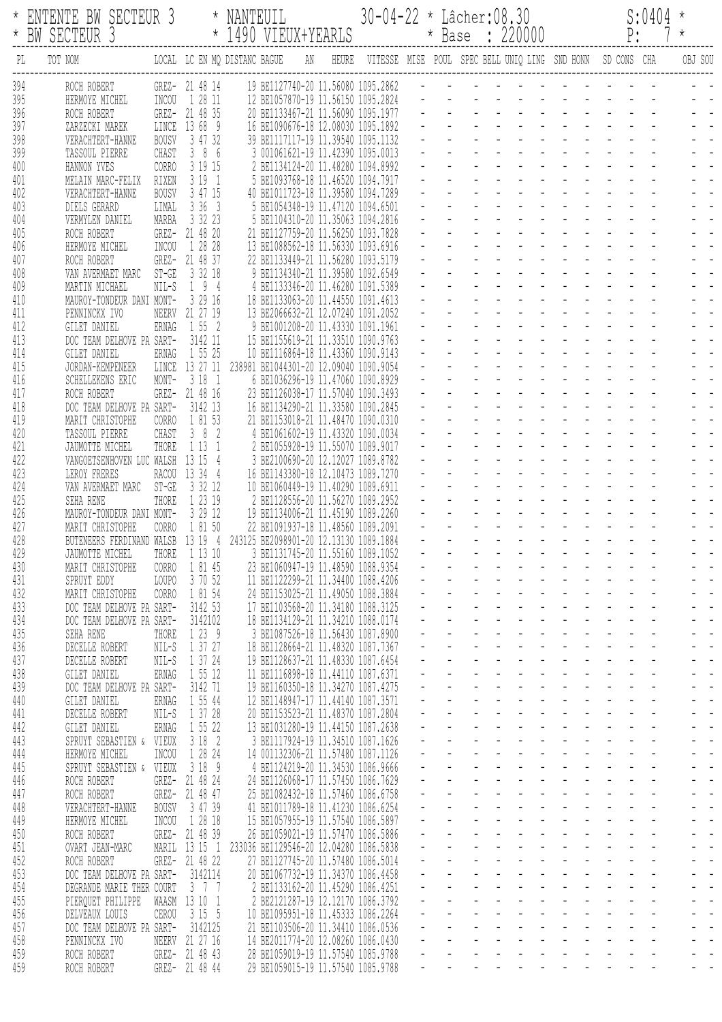|                          | ENTENTE BW SECTEUR 3<br>BW SECTEUR 3                                                                            |                                                 | NANTEUIL<br>* 1490 VIEUX+YEARLS                                                                                                                         |       | 30-04-22 * Lâcher:08.30 |                           |  | * Base : 220000                                            |  | S:0404<br>$P: 7 *$ |         |
|--------------------------|-----------------------------------------------------------------------------------------------------------------|-------------------------------------------------|---------------------------------------------------------------------------------------------------------------------------------------------------------|-------|-------------------------|---------------------------|--|------------------------------------------------------------|--|--------------------|---------|
| PL                       | TOT NOM                                                                                                         |                                                 | LOCAL LC EN MQ DISTANC BAGUE<br>AN                                                                                                                      | HEURE |                         |                           |  | VITESSE MISE POUL SPEC BELL UNIQ LING SND HONN SD CONS CHA |  |                    | OBJ SOU |
| 394<br>395<br>396        | ROCH ROBERT<br>HERMOYE MICHEL<br>INCOU<br>ROCH ROBERT                                                           | GREZ- 21 48 14<br>1 28 11<br>GREZ- 21 48 35     | 19 BE1127740-20 11.56080 1095.2862<br>12 BE1057870-19 11.56150 1095.2824<br>20 BE1133467-21 11.56090 1095.1977                                          |       |                         |                           |  |                                                            |  |                    |         |
| 397<br>398<br>399        | LINCE<br>ZARZECKI MAREK<br>VERACHTERT-HANNE<br><b>BOUSV</b><br>TASSOUL PIERRE<br>CHAST                          | 13 68 9<br>3 47 32<br>386<br>3 19 15            | 16 BE1090676-18 12.08030 1095.1892<br>39 BE1117117-19 11.39540 1095.1132<br>3 001061621-19 11.42390 1095.0013                                           |       |                         |                           |  |                                                            |  |                    |         |
| 400<br>401<br>402<br>403 | HANNON YVES<br>CORRO<br>RIXEN<br>MELAIN MARC-FELIX<br>VERACHTERT-HANNE<br><b>BOUSV</b><br>LIMAL<br>DIELS GERARD | 3191<br>3 47 15<br>3363                         | 2 BE1134124-20 11.48280 1094.8992<br>5 BE1093768-18 11.46520 1094.7917<br>40 BE1011723-18 11,39580 1094,7289<br>5 BE1054348-19 11.47120 1094.6501       |       |                         |                           |  |                                                            |  |                    |         |
| 404<br>405<br>406        | MARBA<br>VERMYLEN DANIEL<br>ROCH ROBERT<br>INCOU<br>HERMOYE MICHEL                                              | 3 32 23<br>GREZ- 21 48 20<br>1 28 28            | 5 BE1104310-20 11.35063 1094.2816<br>21 BE1127759-20 11.56250 1093.7828<br>13 BE1088562-18 11.56330 1093.6916                                           |       |                         |                           |  |                                                            |  |                    |         |
| 407<br>408<br>409<br>410 | ROCH ROBERT<br>GREZ-<br>$ST-GE$<br>VAN AVERMAET MARC<br>$NIL-S$<br>MARTIN MICHAEL<br>MAUROY-TONDEUR DANI MONT-  | 21 48 37<br>3 32 18<br>194<br>3 29 16           | 22 BE1133449-21 11.56280 1093.5179<br>9 BE1134340-21 11.39580 1092.6549<br>4 BE1133346-20 11.46280 1091.5389<br>18 BE1133063-20 11.44550 1091.4613      |       |                         |                           |  |                                                            |  |                    |         |
| 411<br>412<br>413        | PENNINCKX IVO<br>ERNAG<br>GILET DANIEL<br>DOC TEAM DELHOVE PA SART-                                             | NEERV 21 27 19<br>1 55 2<br>3142 11             | 13 BE2066632-21 12.07240 1091.2052<br>9 BE1001208-20 11.43330 1091.1961<br>15 BE1155619-21 11.33510 1090.9763                                           |       |                         |                           |  |                                                            |  |                    |         |
| 414<br>415<br>416<br>417 | GILET DANIEL<br>ERNAG<br>LINCE<br>JORDAN-KEMPENEER<br>SCHELLEKENS ERIC<br>MONT-<br>ROCH ROBERT<br>GREZ-         | 1 55 25<br>13 27 11<br>3181<br>21 48 16         | 10 BE1116864-18 11.43360 1090.9143<br>238981 BE1044301-20 12.09040 1090.9054<br>6 BE1036296-19 11.47060 1090.8929<br>23 BE1126038-17 11.57040 1090.3493 |       |                         |                           |  |                                                            |  |                    |         |
| 418<br>419<br>420        | DOC TEAM DELHOVE PA SART-<br>MARIT CHRISTOPHE<br>CORRO<br>CHAST<br>TASSOUL PIERRE                               | 3142 13<br>1 81 53<br>382                       | 16 BE1134290-21 11,33580 1090.2845<br>21 BE1153018-21 11,48470 1090,0310<br>4 BE1061602-19 11.43320 1090.0034                                           |       |                         |                           |  |                                                            |  |                    |         |
| 421<br>422<br>423<br>424 | THORE<br>JAUMOTTE MICHEL<br>VANGOETSENHOVEN LUC WALSH<br>LEROY FRERES<br>RACOU<br>$ST-GE$<br>VAN AVERMAET MARC  | 1131<br>13 15<br>4<br>13 34 4<br>3 32 12        | 2 BE1055928-19 11.55070 1089.9017<br>3 BE2100690-20 12.12027 1089.8782<br>16 BE1143380-18 12.10473 1089.7270<br>10 BE1060449-19 11,40290 1089.6911      |       |                         |                           |  |                                                            |  |                    |         |
| 425<br>426<br>427        | SEHA RENE<br>THORE<br>MAUROY-TONDEUR DANI MONT-<br>MARIT CHRISTOPHE<br><b>CORRO</b>                             | 1 23 19<br>3 29 12<br>1 81 50                   | 2 BE1128556-20 11.56270 1089.2952<br>19 BE1134006-21 11.45190 1089.2260<br>22 BE1091937-18 11.48560 1089.2091                                           |       |                         |                           |  |                                                            |  |                    |         |
| 428<br>429<br>430<br>431 | BUTENEERS FERDINAND<br>WALSB<br>JAUMOTTE MICHEL<br>THORE<br>MARIT CHRISTOPHE<br>CORRO<br>LOUPO<br>SPRUYT EDDY   | 13 19<br>1 13 10<br>1 81 45<br>3 70 52          | 243125 BE2098901-20 12.13130 1089.1884<br>3 BE1131745-20 11.55160 1089.1052<br>23 BE1060947-19 11.48590 1088.9354<br>11 BE1122299-21 11.34400 1088.4206 |       |                         |                           |  |                                                            |  |                    |         |
| 432<br>433<br>434        | MARIT CHRISTOPHE<br><b>CORRO</b><br>DOC TEAM DELHOVE PA SART-<br>DOC TEAM DELHOVE PA SART-                      | 1 81 54<br>3142 53<br>3142102                   | 24 BE1153025-21 11.49050 1088.3884<br>17 BE1103568-20 11.34180 1088.3125<br>18 BE1134129-21 11.34210 1088.0174                                          |       |                         |                           |  |                                                            |  |                    |         |
| 435<br>436<br>437<br>438 | SEHA RENE<br>THORE<br>DECELLE ROBERT<br>NIL-S<br>NIL-S<br>DECELLE ROBERT<br><b>ERNAG</b><br>GILET DANIEL        | 1239<br>1 37 27<br>1 37 24<br>1 55 12           | 3 BE1087526-18 11.56430 1087.8900<br>18 BE1128664-21 11.48320 1087.7367<br>19 BE1128637-21 11.48330 1087.6454<br>11 BE1116898-18 11.44110 1087.6371     |       |                         |                           |  |                                                            |  |                    |         |
| 439<br>440<br>441        | DOC TEAM DELHOVE PA SART-<br>ERNAG<br>GILET DANIEL<br>$NIL-S$<br>DECELLE ROBERT                                 | 3142 71<br>1 55 44<br>1 37 28                   | 19 BE1160350-18 11.34270 1087.4275<br>12 BE1148947-17 11.44140 1087.3571<br>20 BE1153523-21 11.48370 1087.2804                                          |       |                         |                           |  |                                                            |  |                    |         |
| 442<br>443<br>444<br>445 | GILET DANIEL<br>ERNAG<br>SPRUYT SEBASTIEN &<br>VIEUX<br>HERMOYE MICHEL<br>INCOU<br>SPRUYT SEBASTIEN &<br>VIEUX  | 1 55 22<br>3182<br>1 28 24<br>3189              | 13 BE1031280-19 11.44150 1087.2638<br>3 BE1117924-19 11.34510 1087.1626<br>14 001132306-21 11.57480 1087.1126<br>4 BE1124219-20 11.34530 1086.9666      |       |                         |                           |  |                                                            |  |                    |         |
| 446<br>447<br>448        | ROCH ROBERT<br>GREZ-<br>ROCH ROBERT<br><b>BOUSV</b><br>VERACHTERT-HANNE                                         | 21 48 24<br>GREZ- 21 48 47<br>3 47 39           | 24 BE1126068-17 11.57450 1086.7629<br>25 BE1082432-18 11.57460 1086.6758<br>41 BE1011789-18 11.41230 1086.6254                                          |       |                         |                           |  |                                                            |  |                    |         |
| 449<br>450<br>451        | INCOU<br>HERMOYE MICHEL<br>ROCH ROBERT<br>MARIL<br>OVART JEAN-MARC                                              | 1 28 18<br>GREZ- 21 48 39<br>13 15 1            | 15 BE1057955-19 11.57540 1086.5897<br>26 BE1059021-19 11.57470 1086.5886<br>233036 BE1129546-20 12.04280 1086.5838                                      |       |                         | $\omega_{\rm c}$          |  |                                                            |  |                    |         |
| 452<br>453<br>454<br>455 | ROCH ROBERT<br>GREZ-<br>DOC TEAM DELHOVE PA SART-<br>DEGRANDE MARIE THER COURT<br>PIERQUET PHILIPPE<br>WAASM    | 21 48 22<br>3142114<br>$3 \t 7 \t 7$<br>13 10 1 | 27 BE1127745-20 11.57480 1086.5014<br>20 BE1067732-19 11.34370 1086.4458<br>2 BE1133162-20 11.45290 1086.4251<br>2 BE2121287-19 12.12170 1086.3792      |       |                         |                           |  |                                                            |  |                    |         |
| 456<br>457<br>458        | DELVEAUX LOUIS<br>CEROU<br>DOC TEAM DELHOVE PA SART-<br>PENNINCKX IVO<br>NEERV                                  | 3155<br>3142125<br>21 27 16                     | 10 BE1095951-18 11.45333 1086.2264<br>21 BE1103506-20 11.34410 1086.0536<br>14 BE2011774-20 12.08260 1086.0430                                          |       |                         | $\mathbb{Z}^{\mathbb{Z}}$ |  |                                                            |  |                    |         |
| 459<br>459               | ROCH ROBERT<br>GREZ-<br>ROCH ROBERT<br>GREZ-                                                                    | 21 48 43<br>21 48 44                            | 28 BE1059019-19 11.57540 1085.9788<br>29 BE1059015-19 11.57540 1085.9788                                                                                |       |                         |                           |  |                                                            |  |                    |         |